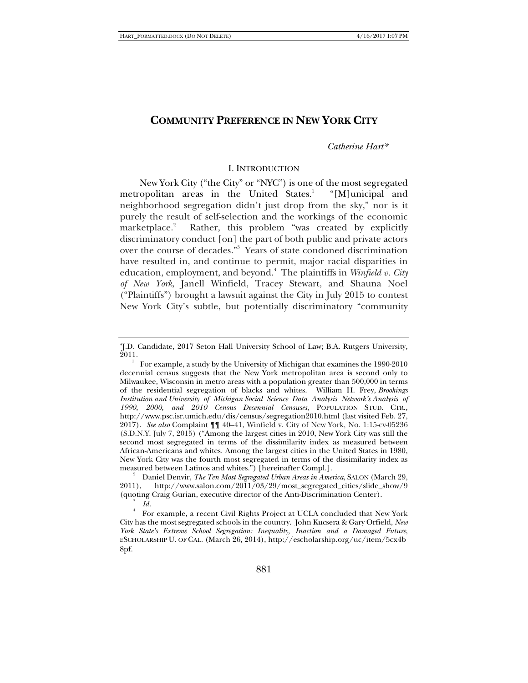# **COMMUNITY PREFERENCE IN NEW YORK CITY**

### *Catherine Hart\**

### I. INTRODUCTION

New York City ("the City" or "NYC") is one of the most segregated metropolitan areas in the United States.<sup>1</sup> "[M]unicipal and neighborhood segregation didn't just drop from the sky," nor is it purely the result of self-selection and the workings of the economic marketplace.<sup>2</sup> Rather, this problem "was created by explicitly discriminatory conduct [on] the part of both public and private actors over the course of decades."3 Years of state condoned discrimination have resulted in, and continue to permit, major racial disparities in education, employment, and beyond.4 The plaintiffs in *Winfield v. City of New York*, Janell Winfield, Tracey Stewart, and Shauna Noel ("Plaintiffs") brought a lawsuit against the City in July 2015 to contest New York City's subtle, but potentially discriminatory "community

J.D. Candidate, 2017 Seton Hall University School of Law; B.A. Rutgers University, 2011.

<sup>1</sup> For example, a study by the University of Michigan that examines the 1990-2010 decennial census suggests that the New York metropolitan area is second only to Milwaukee, Wisconsin in metro areas with a population greater than 500,000 in terms of the residential segregation of blacks and whites. William H. Frey, *Brookings Institution and University of Michigan Social Science Data Analysis Network's Analysis of 1990, 2000, and 2010 Census Decennial Censuses*, POPULATION STUD. CTR., http://www.psc.isr.umich.edu/dis/census/segregation2010.html (last visited Feb. 27, 2017). *See also* Complaint ¶¶ 40–41, Winfield v. City of New York, No. 1:15-cv-05236 (S.D.N.Y. July 7, 2015) ("Among the largest cities in 2010, New York City was still the second most segregated in terms of the dissimilarity index as measured between African-Americans and whites. Among the largest cities in the United States in 1980, New York City was the fourth most segregated in terms of the dissimilarity index as measured between Latinos and whites.") [hereinafter Compl.]. 2

<sup>&</sup>lt;sup>2</sup> Daniel Denvir, *The Ten Most Segregated Urban Areas in America*, SALON (March 29, 2011), http://www.salon.com/2011/03/29/most\_segregated\_cities/slide\_show/9 (quoting Craig Gurian, executive director of the Anti-Discrimination Center). 3  $I_d$ 

For example, a recent Civil Rights Project at UCLA concluded that New York City has the most segregated schools in the country. John Kucsera & Gary Orfield, *New York State's Extreme School Segregation: Inequality, Inaction and a Damaged Future*, ESCHOLARSHIP U. OF CAL. (March 26, 2014), http://escholarship.org/uc/item/5cx4b 8pf.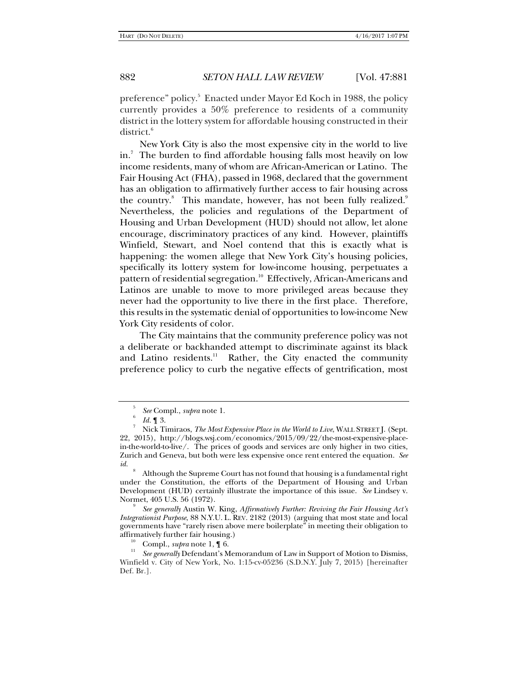preference" policy.<sup>5</sup> Enacted under Mayor Ed Koch in 1988, the policy currently provides a 50% preference to residents of a community district in the lottery system for affordable housing constructed in their district.<sup>6</sup>

New York City is also the most expensive city in the world to live in.<sup>7</sup> The burden to find affordable housing falls most heavily on low income residents, many of whom are African-American or Latino. The Fair Housing Act (FHA), passed in 1968, declared that the government has an obligation to affirmatively further access to fair housing across the country.<sup>8</sup> This mandate, however, has not been fully realized.<sup>9</sup> Nevertheless, the policies and regulations of the Department of Housing and Urban Development (HUD) should not allow, let alone encourage, discriminatory practices of any kind. However, plaintiffs Winfield, Stewart, and Noel contend that this is exactly what is happening: the women allege that New York City's housing policies, specifically its lottery system for low-income housing, perpetuates a pattern of residential segregation.<sup>10</sup> Effectively, African-Americans and Latinos are unable to move to more privileged areas because they never had the opportunity to live there in the first place. Therefore, this results in the systematic denial of opportunities to low-income New York City residents of color.

The City maintains that the community preference policy was not a deliberate or backhanded attempt to discriminate against its black and Latino residents.<sup>11</sup> Rather, the City enacted the community preference policy to curb the negative effects of gentrification, most

 *See generally* Austin W. King, *Affirmatively Further: Reviving the Fair Housing Act's Integrationist Purpose*, 88 N.Y.U. L. REV. 2182 (2013) (arguing that most state and local governments have "rarely risen above mere boilerplate" in meeting their obligation to affirmatively further fair housing.)<br><sup>10</sup> Compl., *supra* note 1, ¶ 6.<br><sup>11</sup> *See generally* Defendant's Memorandum of Law in Support of Motion to Dismiss,

<sup>5</sup> *See* Compl., *supra* note 1. 6

*Id.* 1 3.

Nick Timiraos, *The Most Expensive Place in the World to Live*, WALL STREET J. (Sept. 22, 2015), http://blogs.wsj.com/economics/2015/09/22/the-most-expensive-placein-the-world-to-live/. The prices of goods and services are only higher in two cities, Zurich and Geneva, but both were less expensive once rent entered the equation. *See id.* <sup>8</sup>

Although the Supreme Court has not found that housing is a fundamental right under the Constitution, the efforts of the Department of Housing and Urban Development (HUD) certainly illustrate the importance of this issue. *See* Lindsey v. Normet, 405 U.S. 56 (1972). 9

Winfield v. City of New York, No. 1:15-cv-05236 (S.D.N.Y. July 7, 2015) [hereinafter Def. Br.].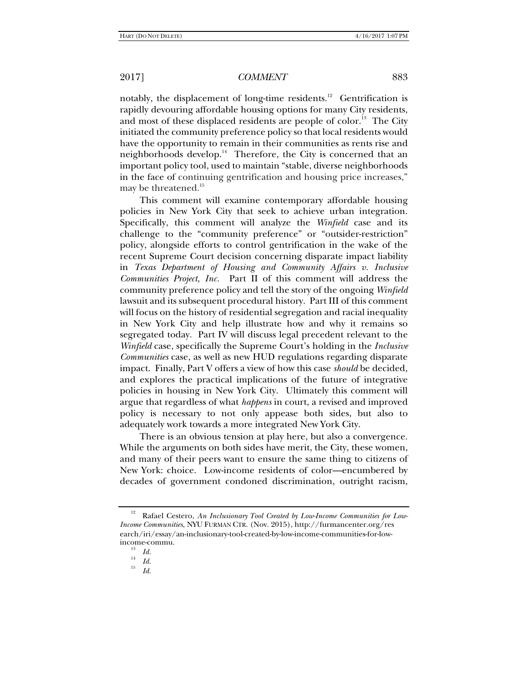notably, the displacement of long-time residents.<sup>12</sup> Gentrification is rapidly devouring affordable housing options for many City residents, and most of these displaced residents are people of color.<sup>13</sup> The City initiated the community preference policy so that local residents would have the opportunity to remain in their communities as rents rise and neighborhoods develop.<sup>14</sup> Therefore, the City is concerned that an important policy tool, used to maintain "stable, diverse neighborhoods in the face of continuing gentrification and housing price increases," may be threatened.<sup>15</sup>

This comment will examine contemporary affordable housing policies in New York City that seek to achieve urban integration. Specifically, this comment will analyze the *Winfield* case and its challenge to the "community preference" or "outsider-restriction" policy, alongside efforts to control gentrification in the wake of the recent Supreme Court decision concerning disparate impact liability in *Texas Department of Housing and Community Affairs v. Inclusive Communities Project, Inc.* Part II of this comment will address the community preference policy and tell the story of the ongoing *Winfield* lawsuit and its subsequent procedural history. Part III of this comment will focus on the history of residential segregation and racial inequality in New York City and help illustrate how and why it remains so segregated today. Part IV will discuss legal precedent relevant to the *Winfield* case, specifically the Supreme Court's holding in the *Inclusive Communities* case, as well as new HUD regulations regarding disparate impact. Finally, Part V offers a view of how this case *should* be decided, and explores the practical implications of the future of integrative policies in housing in New York City. Ultimately this comment will argue that regardless of what *happens* in court, a revised and improved policy is necessary to not only appease both sides, but also to adequately work towards a more integrated New York City.

There is an obvious tension at play here, but also a convergence. While the arguments on both sides have merit, the City, these women, and many of their peers want to ensure the same thing to citizens of New York: choice. Low-income residents of color—encumbered by decades of government condoned discrimination, outright racism,

<sup>15</sup> *Id.*

<sup>&</sup>lt;sup>12</sup> Rafael Cestero, An Inclusionary Tool Created by Low-Income Communities for Low-*Income Communities*, NYU FURMAN CTR. (Nov. 2015), http://furmancenter.org/res earch/iri/essay/an-inclusionary-tool-created-by-low-income-communities-for-lowincome-commu.

 $\begin{array}{cc} \n^{13} & Id. \\
\frac{14}{15} & Id. \\
\end{array}$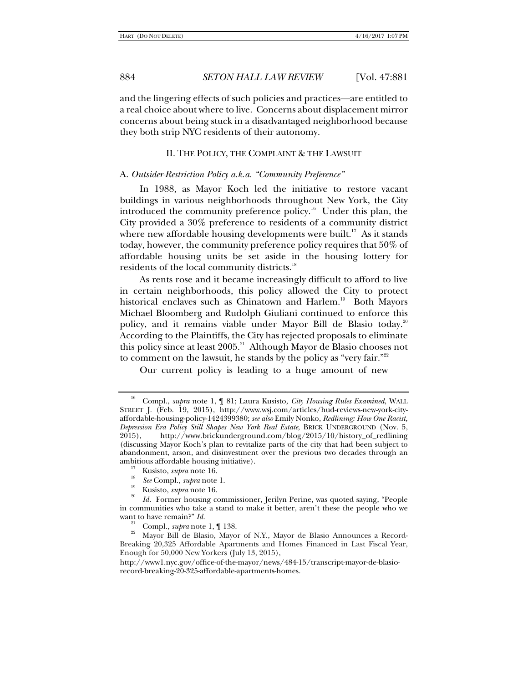and the lingering effects of such policies and practices—are entitled to a real choice about where to live. Concerns about displacement mirror concerns about being stuck in a disadvantaged neighborhood because they both strip NYC residents of their autonomy.

### II. THE POLICY, THE COMPLAINT & THE LAWSUIT

### A. *Outsider-Restriction Policy a.k.a. "Community Preference"*

In 1988, as Mayor Koch led the initiative to restore vacant buildings in various neighborhoods throughout New York, the City introduced the community preference policy.<sup>16</sup> Under this plan, the City provided a 30% preference to residents of a community district where new affordable housing developments were built.<sup>17</sup> As it stands today, however, the community preference policy requires that 50% of affordable housing units be set aside in the housing lottery for residents of the local community districts.<sup>18</sup>

As rents rose and it became increasingly difficult to afford to live in certain neighborhoods, this policy allowed the City to protect historical enclaves such as Chinatown and Harlem.<sup>19</sup> Both Mayors Michael Bloomberg and Rudolph Giuliani continued to enforce this policy, and it remains viable under Mayor Bill de Blasio today.<sup>20</sup> According to the Plaintiffs, the City has rejected proposals to eliminate this policy since at least 2005.<sup>21</sup> Although Mayor de Blasio chooses not to comment on the lawsuit, he stands by the policy as "very fair."<sup>22</sup>

Our current policy is leading to a huge amount of new

- 
- 
- 

<sup>16</sup> Compl., *supra* note 1, ¶ 81; Laura Kusisto, *City Housing Rules Examined*, WALL STREET J. (Feb. 19, 2015), http://www.wsj.com/articles/hud-reviews-new-york-cityaffordable-housing-policy-1424399380; *see also* Emily Nonko, *Redlining: How One Racist, Depression Era Policy Still Shapes New York Real Estate*, BRICK UNDERGROUND (Nov. 5, 2015), http://www.brickunderground.com/blog/2015/10/history\_of\_redlining (discussing Mayor Koch's plan to revitalize parts of the city that had been subject to abandonment, arson, and disinvestment over the previous two decades through an ambitious affordable housing initiative).<br><sup>17</sup> Kusisto, *supra* note 16.<br><sup>18</sup> *See* Compl., *supra* note 1.<br>Kusisto, *supra* note 16.

*Id.* Former housing commissioner, Jerilyn Perine, was quoted saying, "People in communities who take a stand to make it better, aren't these the people who we want to have remain?" *Id.*<br><sup>21</sup> Compl., *supra* note 1,  $\P$  138.

Mayor Bill de Blasio, Mayor of N.Y., Mayor de Blasio Announces a Record-Breaking 20,325 Affordable Apartments and Homes Financed in Last Fiscal Year, Enough for 50,000 New Yorkers (July 13, 2015),

http://www1.nyc.gov/office-of-the-mayor/news/484-15/transcript-mayor-de-blasiorecord-breaking-20-325-affordable-apartments-homes.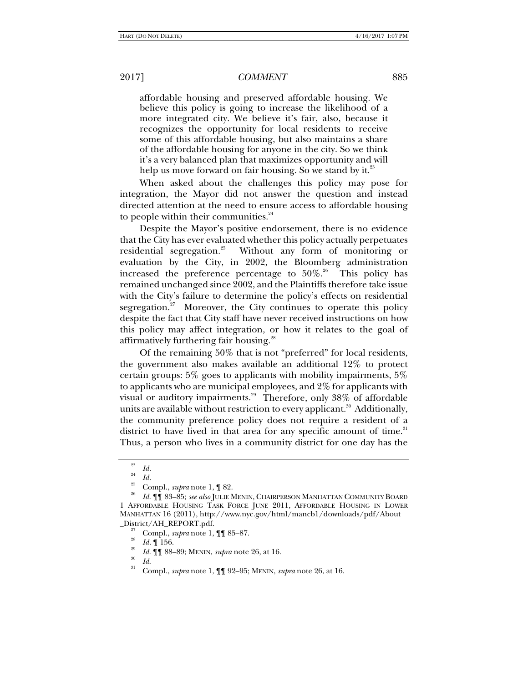affordable housing and preserved affordable housing. We believe this policy is going to increase the likelihood of a more integrated city. We believe it's fair, also, because it recognizes the opportunity for local residents to receive some of this affordable housing, but also maintains a share of the affordable housing for anyone in the city. So we think it's a very balanced plan that maximizes opportunity and will help us move forward on fair housing. So we stand by it.<sup>23</sup>

When asked about the challenges this policy may pose for integration, the Mayor did not answer the question and instead directed attention at the need to ensure access to affordable housing to people within their communities. $24$ 

Despite the Mayor's positive endorsement, there is no evidence that the City has ever evaluated whether this policy actually perpetuates residential segregation.<sup>25</sup> Without any form of monitoring or evaluation by the City, in 2002, the Bloomberg administration increased the preference percentage to  $50\%$ <sup>26</sup> This policy has remained unchanged since 2002, and the Plaintiffs therefore take issue with the City's failure to determine the policy's effects on residential segregation.<sup>27</sup> Moreover, the City continues to operate this policy despite the fact that City staff have never received instructions on how this policy may affect integration, or how it relates to the goal of affirmatively furthering fair housing.<sup>28</sup>

Of the remaining 50% that is not "preferred" for local residents, the government also makes available an additional 12% to protect certain groups: 5% goes to applicants with mobility impairments, 5% to applicants who are municipal employees, and 2% for applicants with visual or auditory impairments.<sup>29</sup> Therefore, only 38% of affordable units are available without restriction to every applicant.<sup>30</sup> Additionally, the community preference policy does not require a resident of a district to have lived in that area for any specific amount of time.<sup>31</sup> Thus, a person who lives in a community district for one day has the

<sup>23</sup>

*Id.* <sup>24</sup>*Id.* 25 Compl., *supra* note 1, ¶ 82. 26

*Id*. ¶¶ 83–85; *see also* JULIE MENIN, CHAIRPERSON MANHATTAN COMMUNITY BOARD 1 AFFORDABLE HOUSING TASK FORCE JUNE 2011, AFFORDABLE HOUSING IN LOWER MANHATTAN 16 (2011), http://www.nyc.gov/html/mancb1/downloads/pdf/About \_District/AH\_REPORT.pdf.<br><sup>27</sup> Compl., *supra* note 1, ¶¶ 85–87.<br><sup>28</sup> *Id.* ¶ 156.<br>*11 I* ¶ 88–89; MENIN, *supra* note 26, at 16.

*Id*. ¶¶ 88–89; MENIN, *supra* note 26, at 16. 30 *Id*. 31 Compl., *supra* note 1, ¶¶ 92–95; MENIN, *supra* note 26, at 16.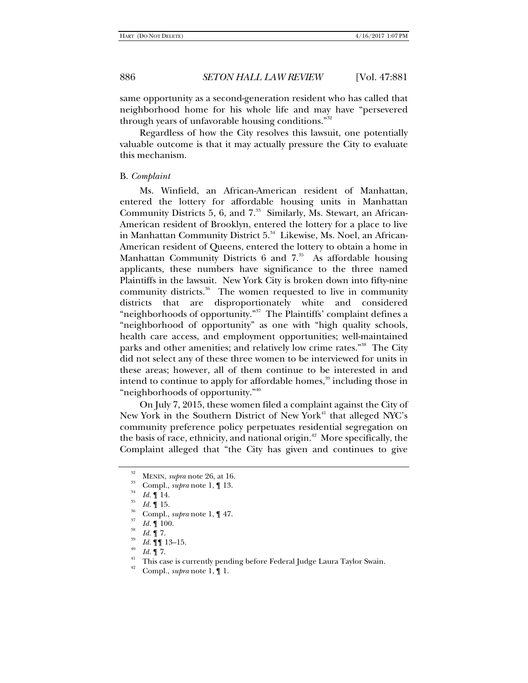same opportunity as a second-generation resident who has called that neighborhood home for his whole life and may have "persevered through years of unfavorable housing conditions."32

Regardless of how the City resolves this lawsuit, one potentially valuable outcome is that it may actually pressure the City to evaluate this mechanism.

#### B. *Complaint*

Ms. Winfield, an African-American resident of Manhattan, entered the lottery for affordable housing units in Manhattan Community Districts 5, 6, and  $7<sup>33</sup>$  Similarly, Ms. Stewart, an African-American resident of Brooklyn, entered the lottery for a place to live in Manhattan Community District 5.<sup>34</sup> Likewise, Ms. Noel, an African-American resident of Queens, entered the lottery to obtain a home in Manhattan Community Districts  $6$  and  $7<sup>35</sup>$  As affordable housing applicants, these numbers have significance to the three named Plaintiffs in the lawsuit. New York City is broken down into fifty-nine community districts.<sup>36</sup> The women requested to live in community districts that are disproportionately white and considered "neighborhoods of opportunity."37 The Plaintiffs' complaint defines a "neighborhood of opportunity" as one with "high quality schools, health care access, and employment opportunities; well-maintained parks and other amenities; and relatively low crime rates."<sup>38</sup> The City did not select any of these three women to be interviewed for units in these areas; however, all of them continue to be interested in and intend to continue to apply for affordable homes,<sup>39</sup> including those in "neighborhoods of opportunity."<sup>40</sup>

On July 7, 2015, these women filed a complaint against the City of New York in the Southern District of New York<sup>41</sup> that alleged NYC's community preference policy perpetuates residential segregation on the basis of race, ethnicity, and national origin.<sup> $42$ </sup> More specifically, the Complaint alleged that "the City has given and continues to give

<sup>&</sup>lt;sup>32</sup> MENIN, *supra* note 26, at 16.<br><sup>33</sup> Compl., *supra* note 1, ¶ 13.<br><sup>34</sup> *Id.* ¶ 14.<br>*Id.* ¶ 15.

*Id.* ¶ 100.<br>*Id.* ¶ 100.<br>*Id.* ¶ 7.

*Id.* **[1** 13–15.<br>*Id.* **1** 7.

<sup>&</sup>lt;sup>41</sup> This case is currently pending before Federal Judge Laura Taylor Swain.

<sup>42</sup> Compl., *supra* note 1, ¶ 1.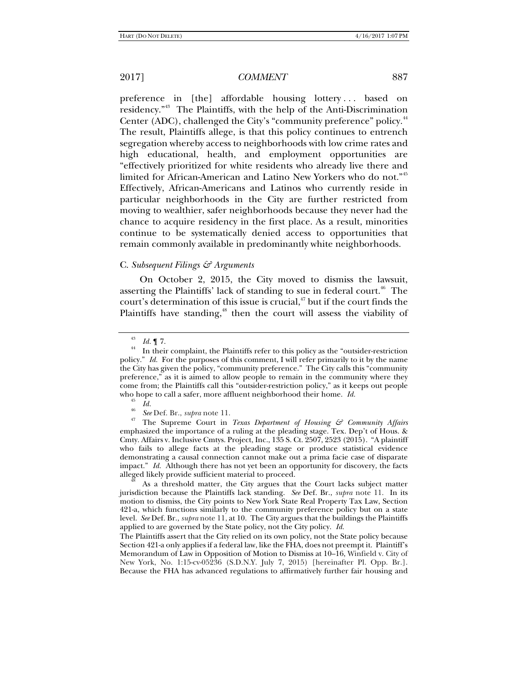preference in [the] affordable housing lottery ... based on residency."43 The Plaintiffs, with the help of the Anti-Discrimination Center (ADC), challenged the City's "community preference" policy.<sup>44</sup> The result, Plaintiffs allege, is that this policy continues to entrench segregation whereby access to neighborhoods with low crime rates and high educational, health, and employment opportunities are "effectively prioritized for white residents who already live there and limited for African-American and Latino New Yorkers who do not."45 Effectively, African-Americans and Latinos who currently reside in particular neighborhoods in the City are further restricted from moving to wealthier, safer neighborhoods because they never had the chance to acquire residency in the first place. As a result, minorities continue to be systematically denied access to opportunities that remain commonly available in predominantly white neighborhoods.

## C. *Subsequent Filings & Arguments*

On October 2, 2015, the City moved to dismiss the lawsuit, asserting the Plaintiffs' lack of standing to sue in federal court.<sup>46</sup> The court's determination of this issue is crucial, $47$  but if the court finds the Plaintiffs have standing, $48$  then the court will assess the viability of

<sup>&</sup>lt;sup>43</sup>*Id.* **[17]**.<br><sup>44</sup> In their complaint, the Plaintiffs refer to this policy as the "outsider-restriction" policy." *Id.* For the purposes of this comment, I will refer primarily to it by the name the City has given the policy, "community preference." The City calls this "community preference," as it is aimed to allow people to remain in the community where they come from; the Plaintiffs call this "outsider-restriction policy," as it keeps out people who hope to call a safer, more affluent neighborhood their home.  $Id$ .

<sup>&</sup>lt;sup>45</sup> *Id.*<br><sup>46</sup> *See* Def. Br., *supra* note 11.<br><sup>47</sup> The Supreme Court in *Texas Department of Housing & Community Affairs* emphasized the importance of a ruling at the pleading stage. Tex. Dep't of Hous. & Cmty. Affairs v. Inclusive Cmtys. Project, Inc., 135 S. Ct. 2507, 2523 (2015). "A plaintiff who fails to allege facts at the pleading stage or produce statistical evidence demonstrating a causal connection cannot make out a prima facie case of disparate impact." *Id.* Although there has not yet been an opportunity for discovery, the facts alleged likely provide sufficient material to proceed.

As a threshold matter, the City argues that the Court lacks subject matter jurisdiction because the Plaintiffs lack standing. *See* Def. Br., *supra* note 11. In its motion to dismiss, the City points to New York State Real Property Tax Law, Section 421-a, which functions similarly to the community preference policy but on a state level. *See* Def. Br., *supra* note 11, at 10.The City argues that the buildings the Plaintiffs applied to are governed by the State policy, not the City policy. *Id.*

The Plaintiffs assert that the City relied on its own policy, not the State policy because Section 421-a only applies if a federal law, like the FHA, does not preempt it. Plaintiff's Memorandum of Law in Opposition of Motion to Dismiss at 10–16, Winfield v. City of New York, No. 1:15-cv-05236 (S.D.N.Y. July 7, 2015) [hereinafter Pl. Opp. Br.]. Because the FHA has advanced regulations to affirmatively further fair housing and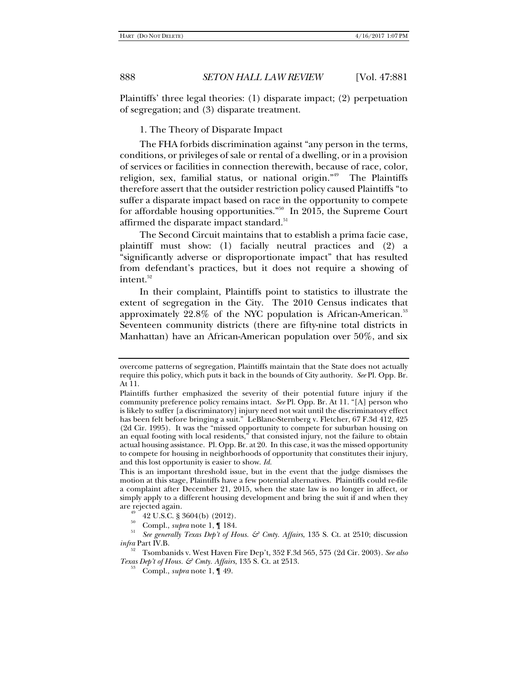Plaintiffs' three legal theories: (1) disparate impact; (2) perpetuation of segregation; and (3) disparate treatment.

1. The Theory of Disparate Impact

The FHA forbids discrimination against "any person in the terms, conditions, or privileges of sale or rental of a dwelling, or in a provision of services or facilities in connection therewith, because of race, color, religion, sex, familial status, or national origin."49 The Plaintiffs therefore assert that the outsider restriction policy caused Plaintiffs "to suffer a disparate impact based on race in the opportunity to compete for affordable housing opportunities."50 In 2015, the Supreme Court affirmed the disparate impact standard.<sup>51</sup>

The Second Circuit maintains that to establish a prima facie case, plaintiff must show: (1) facially neutral practices and (2) a "significantly adverse or disproportionate impact" that has resulted from defendant's practices, but it does not require a showing of intent.<sup>52</sup>

In their complaint, Plaintiffs point to statistics to illustrate the extent of segregation in the City. The 2010 Census indicates that approximately  $22.8\%$  of the NYC population is African-American.<sup>53</sup> Seventeen community districts (there are fifty-nine total districts in Manhattan) have an African-American population over 50%, and six

overcome patterns of segregation, Plaintiffs maintain that the State does not actually require this policy, which puts it back in the bounds of City authority. *See* Pl. Opp. Br. At 11.

Plaintiffs further emphasized the severity of their potential future injury if the community preference policy remains intact. *See* Pl. Opp. Br. At 11. "[A] person who is likely to suffer [a discriminatory] injury need not wait until the discriminatory effect has been felt before bringing a suit."LeBlanc-Sternberg v. Fletcher, 67 F.3d 412, 425 (2d Cir. 1995). It was the "missed opportunity to compete for suburban housing on an equal footing with local residents," that consisted injury, not the failure to obtain actual housing assistance. Pl. Opp. Br. at 20. In this case, it was the missed opportunity to compete for housing in neighborhoods of opportunity that constitutes their injury, and this lost opportunity is easier to show. *Id.*

This is an important threshold issue, but in the event that the judge dismisses the motion at this stage, Plaintiffs have a few potential alternatives. Plaintiffs could re-file a complaint after December 21, 2015, when the state law is no longer in affect, or simply apply to a different housing development and bring the suit if and when they are rejected again.<br> $^{49}$  42 U.S.C. § 3604(b) (2012).

<sup>50</sup> Compl., *supra* note 1, ¶ 184. 51 *See generally Texas Dep't of Hous. & Cmty. Affairs*, 135 S. Ct. at 2510; discussion *infra* Part IV.B.

<sup>52</sup> Tsombanids v. West Haven Fire Dep't, 352 F.3d 565, 575 (2d Cir. 2003). *See also Texas Dep't of Hous. & Cmty. Affairs*, 135 S. Ct. at 2513.<br><sup>53</sup> Compl., *supra* note 1, ¶ 49.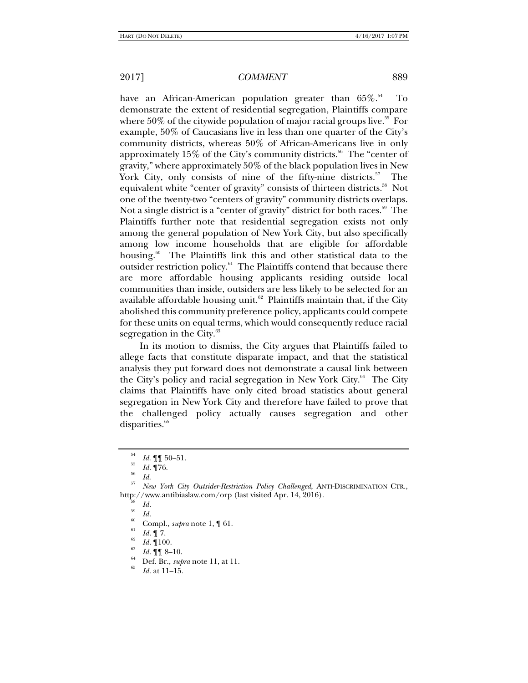have an African-American population greater than  $65\%$ .<sup>54</sup> To demonstrate the extent of residential segregation, Plaintiffs compare where  $50\%$  of the citywide population of major racial groups live.<sup>55</sup> For example, 50% of Caucasians live in less than one quarter of the City's community districts, whereas 50% of African-Americans live in only approximately  $15\%$  of the City's community districts.<sup>56</sup> The "center of gravity," where approximately 50% of the black population lives in New York City, only consists of nine of the fifty-nine districts.<sup>57</sup> The equivalent white "center of gravity" consists of thirteen districts.<sup>58</sup> Not one of the twenty-two "centers of gravity" community districts overlaps. Not a single district is a "center of gravity" district for both races.<sup>59</sup> The Plaintiffs further note that residential segregation exists not only among the general population of New York City, but also specifically among low income households that are eligible for affordable housing.<sup>60</sup> The Plaintiffs link this and other statistical data to the outsider restriction policy. $61$  The Plaintiffs contend that because there are more affordable housing applicants residing outside local communities than inside, outsiders are less likely to be selected for an available affordable housing unit.<sup>62</sup> Plaintiffs maintain that, if the City abolished this community preference policy, applicants could compete for these units on equal terms, which would consequently reduce racial segregation in the City. $63$ 

In its motion to dismiss, the City argues that Plaintiffs failed to allege facts that constitute disparate impact, and that the statistical analysis they put forward does not demonstrate a causal link between the City's policy and racial segregation in New York City.<sup>64</sup> The City claims that Plaintiffs have only cited broad statistics about general segregation in New York City and therefore have failed to prove that the challenged policy actually causes segregation and other disparities.<sup>65</sup>

- <sup>59</sup> *Id.* Compl., *supra* note 1, 1 61.
- 
- 
- *Id.* 100.<br>*Id.* 11. 6-10.
- $I_{65}^{64}$  Def. Br., *supra* note 11, at 11.

*Id.* at 11–15.

 $\begin{array}{c} 54 \ \hline 55 \ \hline 56 \ \hline Id. \ \mathbf{1}76. \end{array}$  Id.

*Id*. 57 *New York City Outsider-Restriction Policy Challenged*, ANTI-DISCRIMINATION CTR., http://www.antibiaslaw.com/orp (last visited Apr. 14, 2016).<br><sup>58</sup> Id.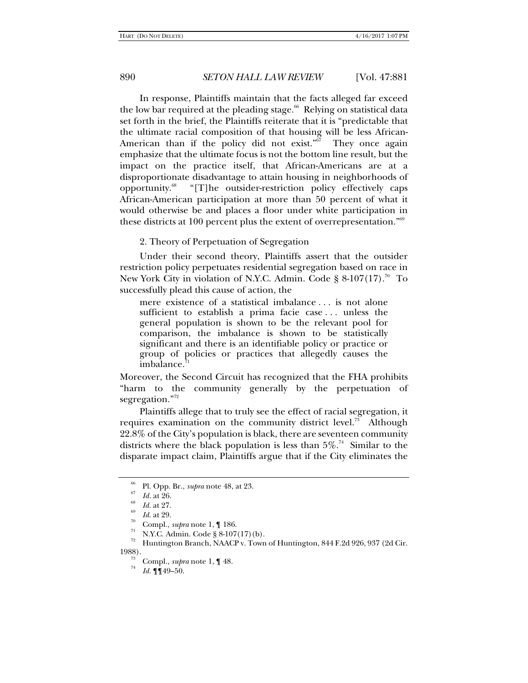In response, Plaintiffs maintain that the facts alleged far exceed the low bar required at the pleading stage.<sup>66</sup> Relying on statistical data set forth in the brief, the Plaintiffs reiterate that it is "predictable that the ultimate racial composition of that housing will be less African-American than if the policy did not exist."<sup>67</sup> They once again emphasize that the ultimate focus is not the bottom line result, but the impact on the practice itself, that African-Americans are at a disproportionate disadvantage to attain housing in neighborhoods of opportunity.68 "[T]he outsider-restriction policy effectively caps African-American participation at more than 50 percent of what it would otherwise be and places a floor under white participation in these districts at 100 percent plus the extent of overrepresentation."69

2. Theory of Perpetuation of Segregation

Under their second theory, Plaintiffs assert that the outsider restriction policy perpetuates residential segregation based on race in New York City in violation of N.Y.C. Admin. Code § 8-107(17).<sup>70</sup> To successfully plead this cause of action, the

mere existence of a statistical imbalance . . . is not alone sufficient to establish a prima facie case . . . unless the general population is shown to be the relevant pool for comparison, the imbalance is shown to be statistically significant and there is an identifiable policy or practice or group of policies or practices that allegedly causes the imbalance.

Moreover, the Second Circuit has recognized that the FHA prohibits "harm to the community generally by the perpetuation of segregation."72

Plaintiffs allege that to truly see the effect of racial segregation, it requires examination on the community district level.<sup>73</sup> Although 22.8% of the City's population is black, there are seventeen community districts where the black population is less than  $5\%$ .<sup>74</sup> Similar to the disparate impact claim, Plaintiffs argue that if the City eliminates the

- <sup>*Id.*</sup> Compl., *supra* note 1, ¶ 186.<br><sup>71</sup> N.Y.C. Admin. Code § 8-107(17)(b).
- <sup>22</sup> Huntington Branch, NAACP v. Town of Huntington, 844 F.2d 926, 937 (2d Cir. 1988).

<sup>&</sup>lt;sup>66</sup> Pl. Opp. Br., *supra* note 48, at 23.<br><sup>67</sup> *Id.* at 26.<br><sup>69</sup> *Id.* at 27.<br>*69 Id.* at 29.

<sup>&</sup>lt;sup>19</sup> Compl., *supra* note 1, 1 48.

*Id.* ¶¶49–50.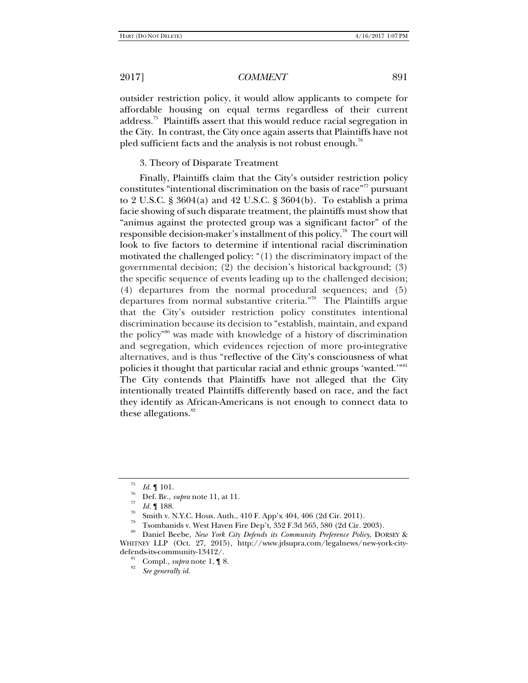outsider restriction policy, it would allow applicants to compete for affordable housing on equal terms regardless of their current address.75 Plaintiffs assert that this would reduce racial segregation in the City. In contrast, the City once again asserts that Plaintiffs have not pled sufficient facts and the analysis is not robust enough.<sup>76</sup>

### 3. Theory of Disparate Treatment

Finally, Plaintiffs claim that the City's outsider restriction policy constitutes "intentional discrimination on the basis of race"<sup>77</sup> pursuant to 2 U.S.C. § 3604(a) and 42 U.S.C. § 3604(b). To establish a prima facie showing of such disparate treatment, the plaintiffs must show that "animus against the protected group was a significant factor" of the responsible decision-maker's installment of this policy.<sup>78</sup> The court will look to five factors to determine if intentional racial discrimination motivated the challenged policy: "(1) the discriminatory impact of the governmental decision; (2) the decision's historical background; (3) the specific sequence of events leading up to the challenged decision; (4) departures from the normal procedural sequences; and (5) departures from normal substantive criteria."79 The Plaintiffs argue that the City's outsider restriction policy constitutes intentional discrimination because its decision to "establish, maintain, and expand the policy"80 was made with knowledge of a history of discrimination and segregation, which evidences rejection of more pro-integrative alternatives, and is thus "reflective of the City's consciousness of what policies it thought that particular racial and ethnic groups 'wanted.'"<sup>81</sup> The City contends that Plaintiffs have not alleged that the City intentionally treated Plaintiffs differently based on race, and the fact they identify as African-Americans is not enough to connect data to these allegations. $82$ 

Tsombanids v. West Haven Fire Dep't, 352 F.3d 565, 580 (2d Cir. 2003).

<sup>75</sup>

<sup>&</sup>lt;sup>76</sup> *Id.* ¶ 101.<br><sup>76</sup> Def. Br., *supra* note 11, at 11.<br><sup>77</sup> *Id.* ¶ 188.<br><sup>78</sup> Smith v. N.Y.C. Hous. Auth., 410 F. App'x 404, 406 (2d Cir. 2011).

<sup>80</sup> Daniel Beebe, *New York City Defends its Community Preference Policy*, DORSEY & WHITNEY LLP (Oct. 27, 2015), http://www.jdsupra.com/legalnews/new-york-citydefends-its-community-13412/.<br><sup>81</sup> Compl., *supra* note 1, 18.

*See generally id*.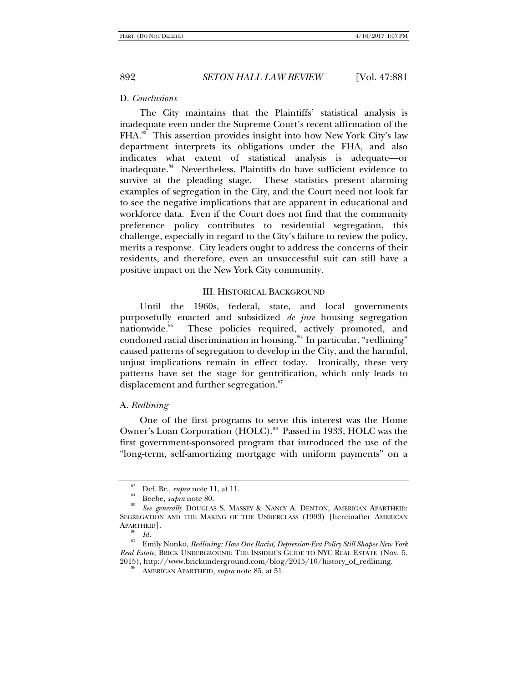### D. *Conclusions*

The City maintains that the Plaintiffs' statistical analysis is inadequate even under the Supreme Court's recent affirmation of the FHA.<sup>83</sup> This assertion provides insight into how New York City's law department interprets its obligations under the FHA, and also indicates what extent of statistical analysis is adequate—or inadequate.<sup>84</sup> Nevertheless, Plaintiffs do have sufficient evidence to survive at the pleading stage. These statistics present alarming examples of segregation in the City, and the Court need not look far to see the negative implications that are apparent in educational and workforce data. Even if the Court does not find that the community preference policy contributes to residential segregation, this challenge, especially in regard to the City's failure to review the policy, merits a response. City leaders ought to address the concerns of their residents, and therefore, even an unsuccessful suit can still have a positive impact on the New York City community.

## III. HISTORICAL BACKGROUND

Until the 1960s, federal, state, and local governments purposefully enacted and subsidized *de jure* housing segregation nationwide.<sup>85</sup> These policies required, actively promoted, and condoned racial discrimination in housing.<sup>86</sup> In particular, "redlining" caused patterns of segregation to develop in the City, and the harmful, unjust implications remain in effect today. Ironically, these very patterns have set the stage for gentrification, which only leads to displacement and further segregation.<sup>87</sup>

## A. *Redlining*

One of the first programs to serve this interest was the Home Owner's Loan Corporation (HOLC).<sup>88</sup> Passed in 1933, HOLC was the first government-sponsored program that introduced the use of the "long-term, self-amortizing mortgage with uniform payments" on a

<sup>&</sup>lt;sup>83</sup> Def. Br., *supra* note 11, at 11.<br><sup>84</sup> Beebe, *supra* note 80.

*See generally* DOUGLAS S. MASSEY & NANCY A. DENTON, AMERICAN APARTHEID: SEGREGATION AND THE MAKING OF THE UNDERCLASS (1993) [hereinafter AMERICAN APARTHEID].

<sup>&</sup>lt;sup>86</sup> *Id.*<br><sup>87</sup> Emily Nonko, *Redlining: How One Racist, Depression-Era Policy Still Shapes New York Real Estate*, BRICK UNDERGROUND: THE INSIDER'S GUIDE TO NYC REAL ESTATE (Nov. 5, 2015), http://www.brickunderground.com/blog/2015/10/history\_of\_redlining. 88 AMERICAN APARTHEID, *supra* note 85, at 51.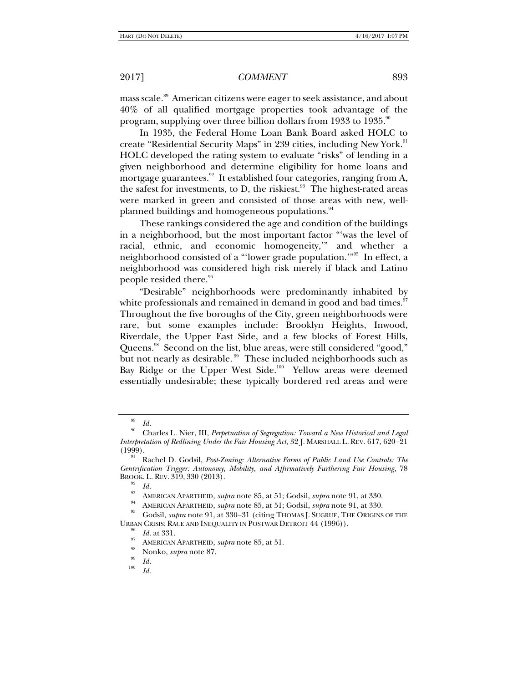mass scale.<sup>89</sup> American citizens were eager to seek assistance, and about 40% of all qualified mortgage properties took advantage of the program, supplying over three billion dollars from 1933 to 1935.<sup>90</sup>

In 1935, the Federal Home Loan Bank Board asked HOLC to create "Residential Security Maps" in 239 cities, including New York.<sup>91</sup> HOLC developed the rating system to evaluate "risks" of lending in a given neighborhood and determine eligibility for home loans and mortgage guarantees.<sup>92</sup> It established four categories, ranging from A, the safest for investments, to D, the riskiest. $93$  The highest-rated areas were marked in green and consisted of those areas with new, wellplanned buildings and homogeneous populations.<sup>94</sup>

These rankings considered the age and condition of the buildings in a neighborhood, but the most important factor "'was the level of racial, ethnic, and economic homogeneity,'" and whether a neighborhood consisted of a "'lower grade population.'"95 In effect, a neighborhood was considered high risk merely if black and Latino people resided there.<sup>96</sup>

"Desirable" neighborhoods were predominantly inhabited by white professionals and remained in demand in good and bad times.<sup>97</sup> Throughout the five boroughs of the City, green neighborhoods were rare, but some examples include: Brooklyn Heights, Inwood, Riverdale, the Upper East Side, and a few blocks of Forest Hills, Queens.98 Second on the list, blue areas, were still considered "good," but not nearly as desirable.<sup>99</sup> These included neighborhoods such as Bay Ridge or the Upper West Side.<sup>100</sup> Yellow areas were deemed essentially undesirable; these typically bordered red areas and were

<sup>&</sup>lt;sup>89</sup> *Id.*<br><sup>90</sup> Charles L. Nier, III, *Perpetuation of Segregation: Toward a New Historical and Legal Interpretation of Redlining Under the Fair Housing Act*, 32 J. MARSHALL L. REV. 617, 620–21<br>(1999).

<sup>&</sup>lt;sup>91</sup> Rachel D. Godsil, *Post-Zoning: Alternative Forms of Public Land Use Controls: The Gentrification Trigger: Autonomy, Mobility, and Affirmatively Furthering Fair Housing*, 78 BROOK. L. REV. 319, 330 (2013).<br><sup>92</sup> Id.

<sup>&</sup>lt;sup>93</sup><br>AMERICAN APARTHEID, *supra* note 85, at 51; Godsil, *supra* note 91, at 330.<br>AMERICAN APARTHEID, *supra* note 85, at 51; Godsil, *supra* note 91, at 330.<br><sup>95</sup> Godsil, *supra* note 91, at 330–31 (citing THOMAS I. SUGRU URBAN CRISIS: RACE AND INEQUALITY IN POSTWAR DETROIT  $44$  (1996)).<br><sup>96</sup> Id. at 331.

<sup>&</sup>lt;sup>97</sup> AMERICAN APARTHEID, *supra* note 85, at 51.<br><sup>98</sup> Nonko, *supra* note 87.<br><sup>100</sup> *Id.* 

*Id.*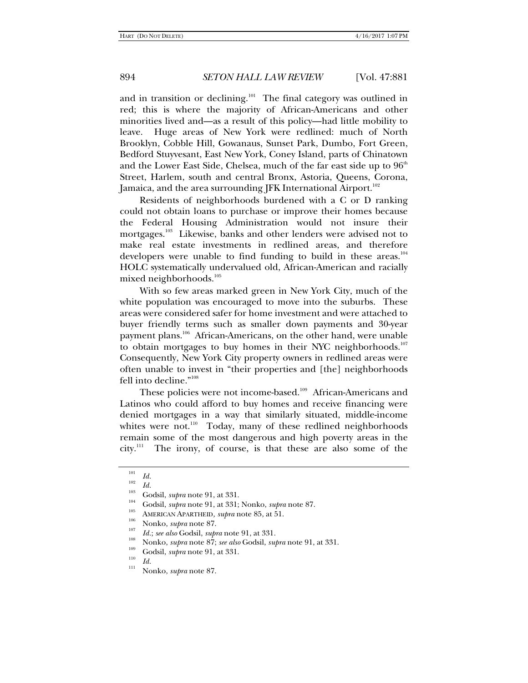and in transition or declining.<sup>101</sup> The final category was outlined in red; this is where the majority of African-Americans and other minorities lived and—as a result of this policy—had little mobility to leave. Huge areas of New York were redlined: much of North Brooklyn, Cobble Hill, Gowanaus, Sunset Park, Dumbo, Fort Green, Bedford Stuyvesant, East New York, Coney Island, parts of Chinatown and the Lower East Side, Chelsea, much of the far east side up to  $96<sup>th</sup>$ Street, Harlem, south and central Bronx, Astoria, Queens, Corona, Jamaica, and the area surrounding JFK International Airport.<sup>102</sup>

Residents of neighborhoods burdened with a C or D ranking could not obtain loans to purchase or improve their homes because the Federal Housing Administration would not insure their mortgages.<sup>103</sup> Likewise, banks and other lenders were advised not to make real estate investments in redlined areas, and therefore developers were unable to find funding to build in these areas.<sup>104</sup> HOLC systematically undervalued old, African-American and racially mixed neighborhoods.<sup>105</sup>

With so few areas marked green in New York City, much of the white population was encouraged to move into the suburbs. These areas were considered safer for home investment and were attached to buyer friendly terms such as smaller down payments and 30-year payment plans.106 African-Americans, on the other hand, were unable to obtain mortgages to buy homes in their NYC neighborhoods.<sup>107</sup> Consequently, New York City property owners in redlined areas were often unable to invest in "their properties and [the] neighborhoods fell into decline."108

These policies were not income-based.<sup>109</sup> African-Americans and Latinos who could afford to buy homes and receive financing were denied mortgages in a way that similarly situated, middle-income whites were not.<sup>110</sup> Today, many of these redlined neighborhoods remain some of the most dangerous and high poverty areas in the city.111 The irony, of course, is that these are also some of the

<sup>101</sup>

<sup>&</sup>lt;sup>101</sup><br>
<sup>102</sup><br> *Id.*<br>
Godsil, *supra* note 91, at 331.<br>
Godsil, *supra* note 91, at 331; Nonko, *supra* note 87.<br>
AMERICAN APARTHEID, *supra* note 85, at 51.<br>
<sup>106</sup><br>
Nonko, *supra* note 87.<br> *Id.; see also* Godsil, *supra* 

Nonko, *supra* note 87; *see also* Godsil, *supra* note 91, at 331.<br>
<sup>109</sup> Godsil, *supra* note 91, at 331.<br>
<sup>110</sup> Id.<br>
<sup>111</sup> Nonko, *supra* note 87.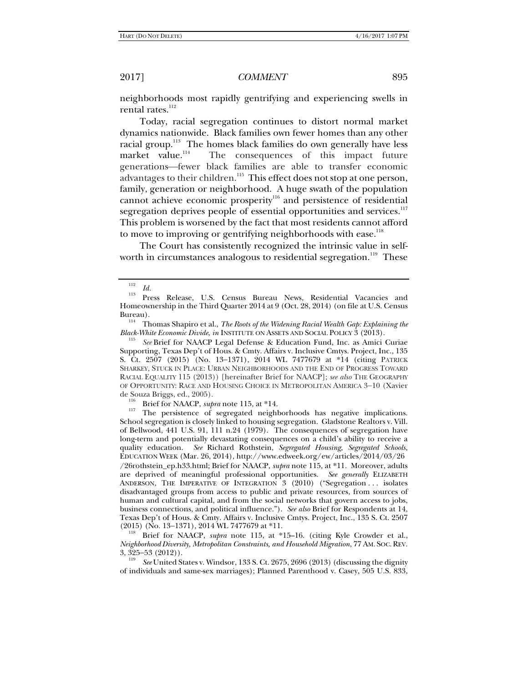neighborhoods most rapidly gentrifying and experiencing swells in rental rates.<sup>112</sup>

Today, racial segregation continues to distort normal market dynamics nationwide. Black families own fewer homes than any other racial group.<sup>113</sup> The homes black families do own generally have less market value.<sup>114</sup> The consequences of this impact future generations-fewer black families are able to transfer economic advantages to their children.<sup>115</sup> This effect does not stop at one person, family, generation or neighborhood. A huge swath of the population cannot achieve economic prosperity116 and persistence of residential segregation deprives people of essential opportunities and services.<sup>117</sup> This problem is worsened by the fact that most residents cannot afford to move to improving or gentrifying neighborhoods with ease.<sup>118</sup>

The Court has consistently recognized the intrinsic value in selfworth in circumstances analogous to residential segregation.<sup>119</sup> These

*See* Brief for NAACP Legal Defense & Education Fund, Inc. as Amici Curiae Supporting, Texas Dep't of Hous. & Cmty. Affairs v. Inclusive Cmtys. Project, Inc., 135 S. Ct.  $2507$  (2015) (No. 13-1371), 2014 WL 7477679 at \*14 (citing PATRICK SHARKEY, STUCK IN PLACE: URBAN NEIGHBORHOODS AND THE END OF PROGRESS TOWARD RACIAL EQUALITY 115 (2013)) [hereinafter Brief for NAACP]; *see also* THE GEOGRAPHY OF OPPORTUNITY: RACE AND HOUSING CHOICE IN METROPOLITAN AMERICA 3-10 (Xavier de Souza Briggs, ed., 2005).

<sup>116</sup> Brief for NAACP, *supra* note 115, at \*14. <sup>117</sup> The persistence of segregated neighborhoods has negative implications. School segregation is closely linked to housing segregation. Gladstone Realtors v. Vill. of Bellwood, 441 U.S. 91, 111 n.24 (1979). The consequences of segregation have long-term and potentially devastating consequences on a child's ability to receive a quality education. *See* Richard Rothstein, *Segregated Housing, Segregated Schools,* EDUCATION WEEK (Mar. 26, 2014), http://www.edweek.org/ew/articles/2014/03/26 /26rothstein\_ep.h33.html; Brief for NAACP, *supra* note 115, at \*11. Moreover, adults are deprived of meaningful professional opportunities. *See generally* ELIZABETH ANDERSON, THE IMPERATIVE OF INTEGRATION 3 (2010) ("Segregation ... isolates disadvantaged groups from access to public and private resources, from sources of human and cultural capital, and from the social networks that govern access to jobs, business connections, and political influence."). *See also* Brief for Respondents at 14, Texas Dep't of Hous. & Cmty. Affairs v. Inclusive Cmtys. Project, Inc., 135 S. Ct. 2507

Brief for NAACP, *supra* note 115, at \*15–16. (citing Kyle Crowder et al., *Neighborhood Diversity, Metropolitan Constraints, and Household Migration*, 77 AM. SOC.REV.  $3, 325 - 53 (2012)$ .

 *See* United States v. Windsor, 133 S. Ct. 2675, 2696 (2013) (discussing the dignity of individuals and same-sex marriages); Planned Parenthood v. Casey, 505 U.S. 833,

<sup>112</sup>

*Id.* 113 Press Release, U.S. Census Bureau News, Residential Vacancies and Homeownership in the Third Quarter 2014 at 9 (Oct. 28, 2014) (on file at U.S. Census

<sup>&</sup>lt;sup>114</sup> Thomas Shapiro et al., *The Roots of the Widening Racial Wealth Gap: Explaining the Black-White Economic Divide, in INSTITUTE ON ASSETS AND SOCIAL POLICY 3 (2013).*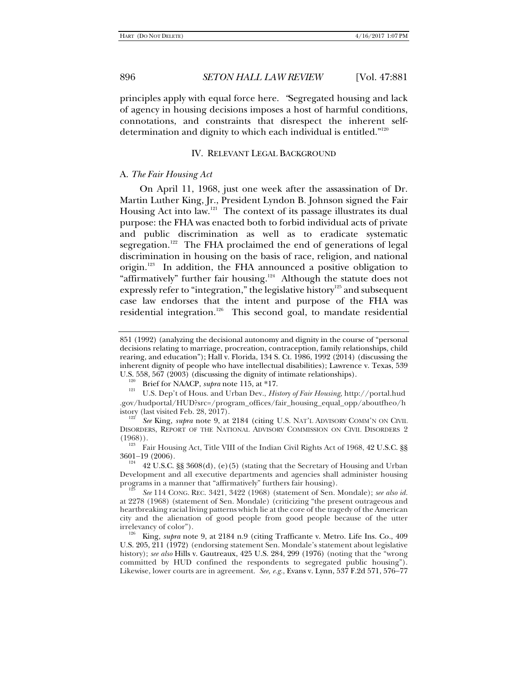principles apply with equal force here. *"*Segregated housing and lack of agency in housing decisions imposes a host of harmful conditions, connotations, and constraints that disrespect the inherent selfdetermination and dignity to which each individual is entitled."<sup>120</sup>

#### IV. RELEVANT LEGAL BACKGROUND

### A. *The Fair Housing Act*

On April 11, 1968, just one week after the assassination of Dr. Martin Luther King, Jr., President Lyndon B. Johnson signed the Fair Housing Act into law.<sup>121</sup> The context of its passage illustrates its dual purpose: the FHA was enacted both to forbid individual acts of private and public discrimination as well as to eradicate systematic segregation.<sup>122</sup> The FHA proclaimed the end of generations of legal discrimination in housing on the basis of race, religion, and national origin.<sup>123</sup> In addition, the FHA announced a positive obligation to "affirmatively" further fair housing.<sup>124</sup> Although the statute does not expressly refer to "integration," the legislative history<sup>125</sup> and subsequent case law endorses that the intent and purpose of the FHA was residential integration.<sup>126</sup> This second goal, to mandate residential

<sup>851 (1992) (</sup>analyzing the decisional autonomy and dignity in the course of "personal decisions relating to marriage, procreation, contraception, family relationships, child rearing, and education"); Hall v. Florida, 134 S. Ct. 1986, 1992 (2014) (discussing the inherent dignity of people who have intellectual disabilities); Lawrence v. Texas, 539 U.S. 558, 567 (2003) (discussing the dignity of intimate relationships).<br><sup>120</sup> Brief for NAACP, *supra* note 115, at \*17.<br><sup>121</sup> U.S. Dep't of Hous. and Urban Dev., *History of Fair Housing*, http://portal.hud

<sup>.</sup>gov/hudportal/HUD?src=/program\_offices/fair\_housing\_equal\_opp/aboutfheo/h istory (last visited Feb. 28, 2017).

*See* King, *supra* note 9, at 2184 (citing U.S. NAT'L ADVISORY COMM'N ON CIVIL DISORDERS, REPORT OF THE NATIONAL ADVISORY COMMISSION ON CIVIL DISORDERS 2 (1968)).

<sup>&</sup>lt;sup>123</sup> Fair Housing Act, Title VIII of the Indian Civil Rights Act of 1968, 42 U.S.C.  $\S$ <br>3601–19 (2006).

<sup>42</sup> U.S.C. §§ 3608(d), (e)(5) (stating that the Secretary of Housing and Urban Development and all executive departments and agencies shall administer housing programs in a manner that "affirmatively" furthers fair housing).

*See* 114 CONG. REC. 3421, 3422 (1968) (statement of Sen. Mondale); *see also id.*  at 2278 (1968) (statement of Sen. Mondale) (criticizing "the present outrageous and heartbreaking racial living patterns which lie at the core of the tragedy of the American city and the alienation of good people from good people because of the utter

irrelevancy of color").<br><sup>126</sup> King, *supra* note 9, at 2184 n.9 (citing Trafficante v. Metro. Life Ins. Co., 409 U.S. 205, 211 (1972) (endorsing statement Sen. Mondale's statement about legislative history); *see also* Hills v. Gautreaux, 425 U.S. 284, 299 (1976) (noting that the "wrong committed by HUD confined the respondents to segregated public housing"). Likewise, lower courts are in agreement. *See, e.g.*, Evans v. Lynn, 537 F.2d 571, 576–77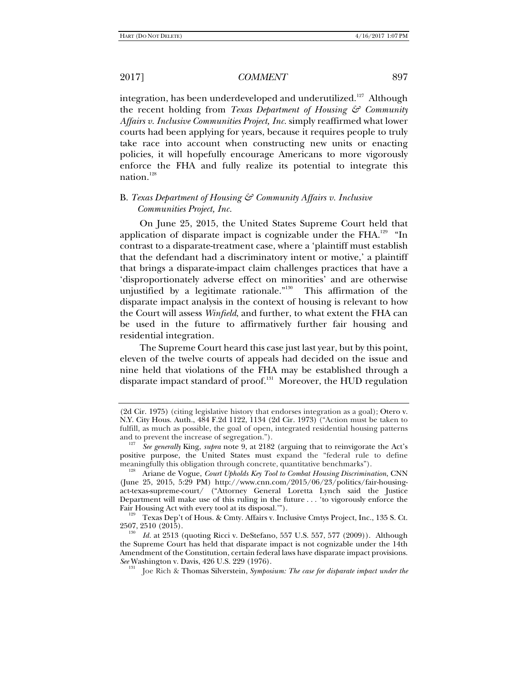131

### 2017] *COMMENT* 897

integration, has been underdeveloped and underutilized.<sup>127</sup> Although the recent holding from *Texas Department of Housing & Community Affairs v. Inclusive Communities Project, Inc.* simply reaffirmed what lower courts had been applying for years, because it requires people to truly take race into account when constructing new units or enacting policies, it will hopefully encourage Americans to more vigorously enforce the FHA and fully realize its potential to integrate this nation.<sup>128</sup>

## B. *Texas Department of Housing & Community Affairs v. Inclusive Communities Project, Inc.*

On June 25, 2015, the United States Supreme Court held that application of disparate impact is cognizable under the  $FHA$ <sup>129</sup> "In contrast to a disparate-treatment case, where a 'plaintiff must establish that the defendant had a discriminatory intent or motive,' a plaintiff that brings a disparate-impact claim challenges practices that have a 'disproportionately adverse effect on minorities' and are otherwise unjustified by a legitimate rationale."130 This affirmation of the disparate impact analysis in the context of housing is relevant to how the Court will assess *Winfield*, and further, to what extent the FHA can be used in the future to affirmatively further fair housing and residential integration.

The Supreme Court heard this case just last year, but by this point, eleven of the twelve courts of appeals had decided on the issue and nine held that violations of the FHA may be established through a disparate impact standard of proof.<sup>131</sup> Moreover, the HUD regulation

<sup>(2</sup>d Cir. 1975) (citing legislative history that endorses integration as a goal); Otero v. N.Y. City Hous. Auth., 484 F.2d 1122, 1134 (2d Cir. 1973) ("Action must be taken to fulfill, as much as possible, the goal of open, integrated residential housing patterns and to prevent the increase of segregation.").

*See generally* King, *supra* note 9, at 2182 (arguing that to reinvigorate the Act's positive purpose, the United States must expand the "federal rule to define meaningfully this obligation through concrete, quantitative benchmarks").

meaningfully this obligation through concrete, quantitative benchmarks"). 128 Ariane de Vogue, *Court Upholds Key Tool to Combat Housing Discrimination*, CNN (June 25, 2015, 5:29 PM) http://www.cnn.com/2015/06/23/politics/fair-housingact-texas-supreme-court/ ("Attorney General Loretta Lynch said the Justice Department will make use of this ruling in the future . . . 'to vigorously enforce the

<sup>&</sup>lt;sup>129</sup> Texas Dep't of Hous. & Cmty. Affairs v. Inclusive Cmtys Project, Inc., 135 S. Ct. 2507, 2510 (2015).

*Id.* at 2513 (quoting Ricci v. DeStefano, 557 U.S. 557, 577 (2009)). Although the Supreme Court has held that disparate impact is not cognizable under the 14th Amendment of the Constitution, certain federal laws have disparate impact provisions. *See* Washington v. Davis, 426 U.S. 229 (1976).

Joe Rich & Thomas Silverstein, *Symposium: The case for disparate impact under the*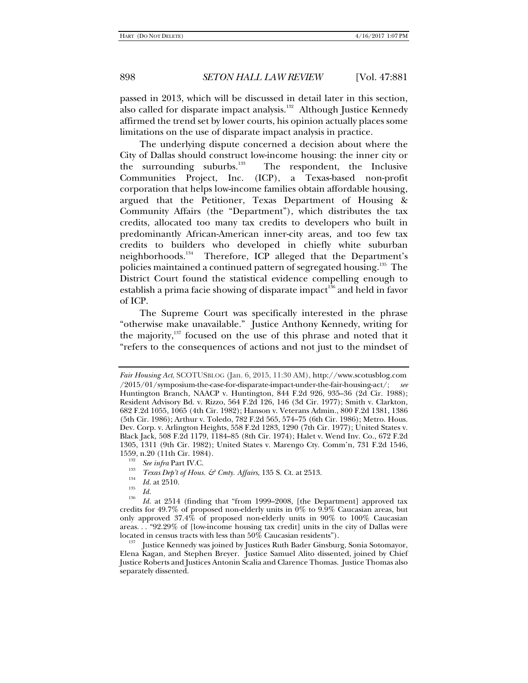passed in 2013, which will be discussed in detail later in this section, also called for disparate impact analysis.<sup>132</sup> Although Justice Kennedy affirmed the trend set by lower courts, his opinion actually places some limitations on the use of disparate impact analysis in practice.

The underlying dispute concerned a decision about where the City of Dallas should construct low-income housing: the inner city or the surrounding suburbs.<sup>133</sup> The respondent, the Inclusive Communities Project, Inc. (ICP), a Texas-based non-profit corporation that helps low-income families obtain affordable housing, argued that the Petitioner, Texas Department of Housing & Community Affairs (the "Department"), which distributes the tax credits, allocated too many tax credits to developers who built in predominantly African-American inner-city areas, and too few tax credits to builders who developed in chiefly white suburban neighborhoods.<sup>134</sup> Therefore, ICP alleged that the Department's policies maintained a continued pattern of segregated housing.<sup>135</sup> The District Court found the statistical evidence compelling enough to establish a prima facie showing of disparate impact<sup>136</sup> and held in favor of ICP.

The Supreme Court was specifically interested in the phrase "otherwise make unavailable." Justice Anthony Kennedy, writing for the majority, $137$  focused on the use of this phrase and noted that it "refers to the consequences of actions and not just to the mindset of

*Fair Housing Act*, SCOTUSBLOG (Jan. 6, 2015, 11:30 AM), http://www.scotusblog.com /2015/01/symposium-the-case-for-disparate-impact-under-the-fair-housing-act/; *see* Huntington Branch, NAACP v. Huntington, 844 F.2d 926, 935–36 (2d Cir. 1988); Resident Advisory Bd. v. Rizzo, 564 F.2d 126, 146 (3d Cir. 1977); Smith v. Clarkton, 682 F.2d 1055, 1065 (4th Cir. 1982); Hanson v. Veterans Admin., 800 F.2d 1381, 1386 (5th Cir. 1986); Arthur v. Toledo, 782 F.2d 565, 574–75 (6th Cir. 1986); Metro. Hous. Dev. Corp. v. Arlington Heights, 558 F.2d 1283, 1290 (7th Cir. 1977); United States v. Black Jack, 508 F.2d 1179, 1184–85 (8th Cir. 1974); Halet v. Wend Inv. Co., 672 F.2d 1305, 1311 (9th Cir. 1982); United States v. Marengo Cty. Comm'n, 731 F.2d 1546, 1559, n.20 (11th Cir. 1984).

<sup>&</sup>lt;sup>152</sup> See infra Part IV.C.<br><sup>133</sup> *Texas Dep't of Hous. & Cmty. Affairs*, 135 S. Ct. at 2513.

 $\frac{134}{135}$  *Id.* at 2510.

<sup>&</sup>lt;sup>136</sup> Id. at 2514 (finding that "from 1999–2008, [the Department] approved tax credits for 49.7% of proposed non-elderly units in 0% to 9.9% Caucasian areas, but only approved 37.4% of proposed non-elderly units in 90% to 100% Caucasian areas... "92.29% of [low-income housing tax credit] units in the city of Dallas were located in census tracts with less than 50% Caucasian residents").

Justice Kennedy was joined by Justices Ruth Bader Ginsburg, Sonia Sotomayor, Elena Kagan, and Stephen Breyer. Justice Samuel Alito dissented, joined by Chief Justice Roberts and Justices Antonin Scalia and Clarence Thomas. Justice Thomas also separately dissented.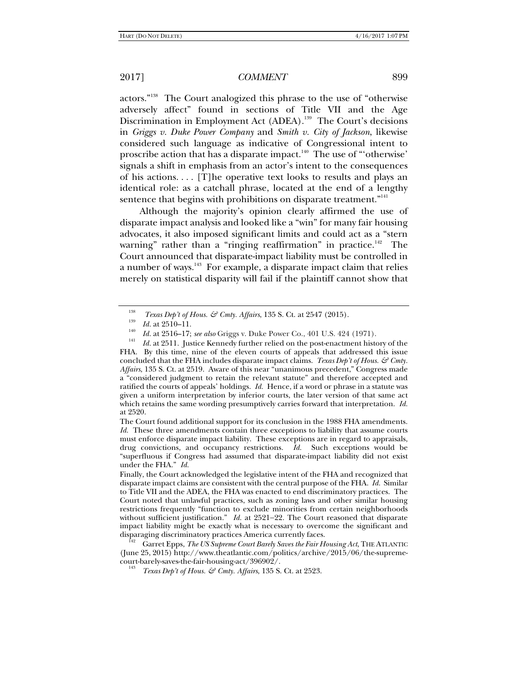actors."138 The Court analogized this phrase to the use of "otherwise adversely affect" found in sections of Title VII and the Age Discrimination in Employment Act (ADEA).<sup>139</sup> The Court's decisions in *Griggs v. Duke Power Company* and *Smith v. City of Jackson*, likewise considered such language as indicative of Congressional intent to proscribe action that has a disparate impact.<sup>140</sup> The use of "'otherwise' signals a shift in emphasis from an actor's intent to the consequences of his actions. . . . [T]he operative text looks to results and plays an identical role: as a catchall phrase, located at the end of a lengthy sentence that begins with prohibitions on disparate treatment."<sup>141</sup>

Although the majority's opinion clearly affirmed the use of disparate impact analysis and looked like a "win" for many fair housing advocates, it also imposed significant limits and could act as a "stern warning" rather than a "ringing reaffirmation" in practice.<sup>142</sup> The Court announced that disparate-impact liability must be controlled in a number of ways.<sup>143</sup> For example, a disparate impact claim that relies merely on statistical disparity will fail if the plaintiff cannot show that

<sup>1&</sup>lt;sup>38</sup> *Texas Dep't of Hous. & Cmty. Affairs*, 135 S. Ct. at 2547 (2015).<br> *Id.* at 2510–11.<br> *Id.* at 2516–17; *see also* Griggs v. Duke Power Co., 401 U.S. 424 (1971).

*Id.* at 2511. Justice Kennedy further relied on the post-enactment history of the FHA. By this time, nine of the eleven courts of appeals that addressed this issue concluded that the FHA includes disparate impact claims. *Texas Dep't of Hous.*  $\mathcal{S}^2$  Cmty. *Affairs*, 135 S. Ct. at 2519. Aware of this near "unanimous precedent," Congress made a "considered judgment to retain the relevant statute" and therefore accepted and ratified the courts of appeals' holdings. *Id.* Hence, if a word or phrase in a statute was given a uniform interpretation by inferior courts, the later version of that same act which retains the same wording presumptively carries forward that interpretation. *Id.* at 2520.

The Court found additional support for its conclusion in the 1988 FHA amendments. *Id.* These three amendments contain three exceptions to liability that assume courts must enforce disparate impact liability. These exceptions are in regard to appraisals, drug convictions, and occupancy restrictions. *Id.* Such exceptions would be "superfluous if Congress had assumed that disparate-impact liability did not exist under the FHA." *Id.* 

Finally, the Court acknowledged the legislative intent of the FHA and recognized that disparate impact claims are consistent with the central purpose of the FHA. *Id.* Similar to Title VII and the ADEA, the FHA was enacted to end discriminatory practices. The Court noted that unlawful practices, such as zoning laws and other similar housing restrictions frequently "function to exclude minorities from certain neighborhoods without sufficient justification." *Id.* at 2521-22. The Court reasoned that disparate impact liability might be exactly what is necessary to overcome the significant and disparaging discriminatory practices America currently faces. 142 Garret Epps, *The US Supreme Court Barely Saves the Fair Housing Act*, THE ATLANTIC

<sup>(</sup>June 25, 2015) http://www.theatlantic.com/politics/archive/2015/06/the-supremecourt-barely-saves-the-fair-housing-act/396902/.

*Texas Dep't of Hous. & Cmty. Affairs*, 135 S. Ct. at 2523.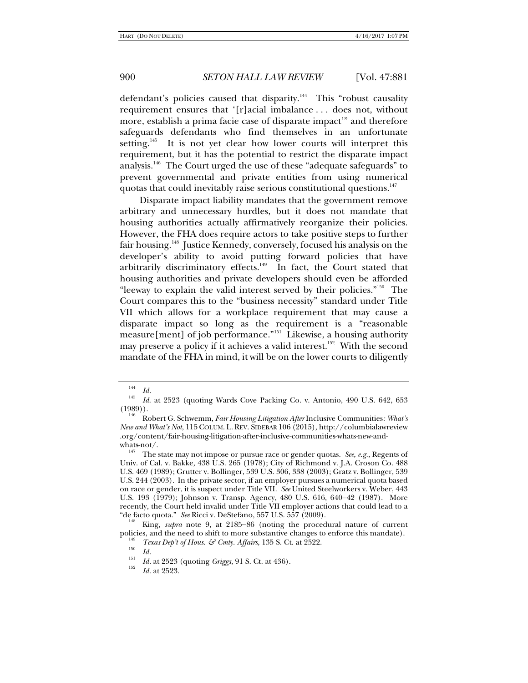defendant's policies caused that disparity.<sup>144</sup> This "robust causality requirement ensures that '[r]acial imbalance . . . does not, without more, establish a prima facie case of disparate impact'" and therefore safeguards defendants who find themselves in an unfortunate setting.<sup>145</sup> It is not yet clear how lower courts will interpret this requirement, but it has the potential to restrict the disparate impact analysis.146 The Court urged the use of these "adequate safeguards" to prevent governmental and private entities from using numerical quotas that could inevitably raise serious constitutional questions.<sup>147</sup>

Disparate impact liability mandates that the government remove arbitrary and unnecessary hurdles, but it does not mandate that housing authorities actually affirmatively reorganize their policies. However, the FHA does require actors to take positive steps to further fair housing.148 Justice Kennedy, conversely, focused his analysis on the developer's ability to avoid putting forward policies that have arbitrarily discriminatory effects. $149$  In fact, the Court stated that housing authorities and private developers should even be afforded "leeway to explain the valid interest served by their policies."<sup>150</sup> The Court compares this to the "business necessity" standard under Title VII which allows for a workplace requirement that may cause a disparate impact so long as the requirement is a "reasonable measure[ment] of job performance."<sup>151</sup> Likewise, a housing authority may preserve a policy if it achieves a valid interest.<sup>152</sup> With the second mandate of the FHA in mind, it will be on the lower courts to diligently

<sup>144</sup>  $\frac{144}{145}$  *Id.* 

*Id*. at 2523 (quoting Wards Cove Packing Co. v. Antonio, 490 U.S. 642, 653 (1989)). 146 Robert G. Schwemm, *Fair Housing Litigation After* Inclusive Communities*: What's* 

*New and What's Not*, 115COLUM. L. REV. SIDEBAR 106 (2015), http://columbialawreview .org/content/fair-housing-litigation-after-inclusive-communities-whats-new-andwhats-not/.<br><sup>147</sup> The state may not impose or pursue race or gender quotas. *See, e.g.*, Regents of

Univ. of Cal. v. Bakke, 438 U.S. 265 (1978); City of Richmond v. J.A. Croson Co. 488 U.S. 469 (1989); Grutter v. Bollinger, 539 U.S. 306, 338 (2003); Gratz v. Bollinger, 539 U.S. 244 (2003). In the private sector, if an employer pursues a numerical quota based on race or gender, it is suspect under Title VII. *See* United Steelworkers v. Weber, 443 U.S. 193 (1979); Johnson v. Transp. Agency, 480 U.S. 616, 640–42 (1987). More recently, the Court held invalid under Title VII employer actions that could lead to a "de facto quota." *See* Ricci v. DeStefano, 557 U.S. 557 (2009).

King, *supra* note 9, at 2185-86 (noting the procedural nature of current policies, and the need to shift to more substantive changes to enforce this mandate).<br><sup>149</sup> *Texas Dep't of Hous. & Cmty. Affairs*, 135 S. Ct. at 2522.<br>*Id.* 

<sup>&</sup>lt;sup>151</sup> *Id.* at 2523 (quoting *Griggs*, 91 S. Ct. at 436).

*Id.* at 2523.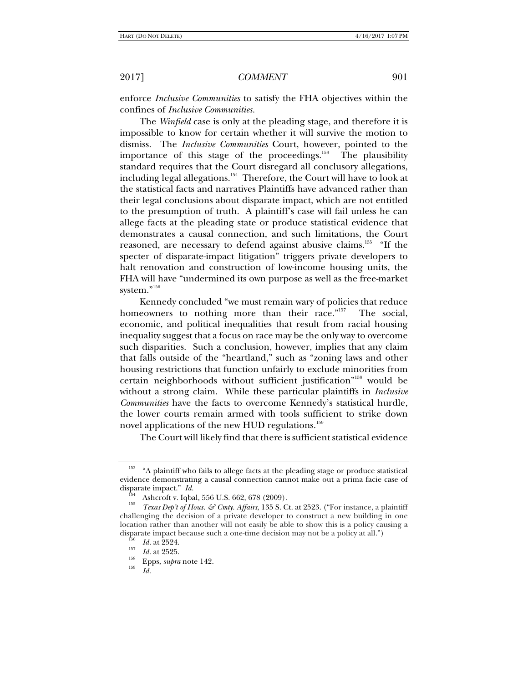enforce *Inclusive Communities* to satisfy the FHA objectives within the confines of *Inclusive Communities.*

The *Winfield* case is only at the pleading stage, and therefore it is impossible to know for certain whether it will survive the motion to dismiss. The *Inclusive Communities* Court, however, pointed to the importance of this stage of the proceedings.<sup>153</sup> The plausibility standard requires that the Court disregard all conclusory allegations, including legal allegations.<sup>154</sup> Therefore, the Court will have to look at the statistical facts and narratives Plaintiffs have advanced rather than their legal conclusions about disparate impact, which are not entitled to the presumption of truth. A plaintiff's case will fail unless he can allege facts at the pleading state or produce statistical evidence that demonstrates a causal connection, and such limitations, the Court reasoned, are necessary to defend against abusive claims.<sup>155</sup> "If the specter of disparate-impact litigation" triggers private developers to halt renovation and construction of low-income housing units, the FHA will have "undermined its own purpose as well as the free-market system."<sup>156</sup>

Kennedy concluded "we must remain wary of policies that reduce homeowners to nothing more than their race."<sup>157</sup> The social, economic, and political inequalities that result from racial housing inequality suggest that a focus on race may be the only way to overcome such disparities. Such a conclusion, however, implies that any claim that falls outside of the "heartland," such as "zoning laws and other housing restrictions that function unfairly to exclude minorities from certain neighborhoods without sufficient justification"158 would be without a strong claim. While these particular plaintiffs in *Inclusive Communities* have the facts to overcome Kennedy's statistical hurdle, the lower courts remain armed with tools sufficient to strike down novel applications of the new HUD regulations.<sup>159</sup>

The Court will likely find that there is sufficient statistical evidence

<sup>153 &</sup>quot;A plaintiff who fails to allege facts at the pleading stage or produce statistical evidence demonstrating a causal connection cannot make out a prima facie case of disparate impact."  $Id$ .

<sup>&</sup>lt;sup>154</sup> Ashcroft v. Iqbal, 556 U.S. 662, 678 (2009).

*Texas Dep't of Hous. & Cmty. Affairs*, 135 S. Ct. at 2523. ("For instance, a plaintiff challenging the decision of a private developer to construct a new building in one location rather than another will not easily be able to show this is a policy causing a disparate impact because such a one-time decision may not be a policy at all.")<br><sup>156</sup>*Id.* at 2524.<br>*Id.* at 2525.

<sup>&</sup>lt;sup>158</sup> Epps, *supra* note 142.

*Id.*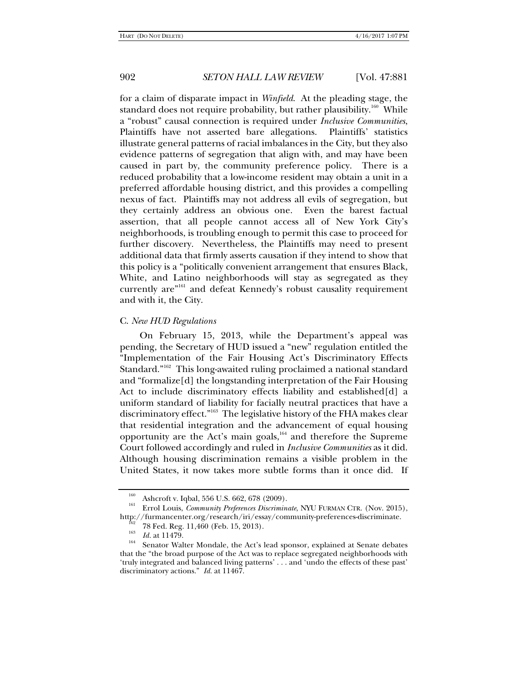for a claim of disparate impact in *Winfield*. At the pleading stage, the standard does not require probability, but rather plausibility.<sup>160</sup> While a "robust" causal connection is required under *Inclusive Communities*, Plaintiffs have not asserted bare allegations. Plaintiffs' statistics illustrate general patterns of racial imbalances in the City, but they also evidence patterns of segregation that align with, and may have been caused in part by, the community preference policy. There is a reduced probability that a low-income resident may obtain a unit in a preferred affordable housing district, and this provides a compelling nexus of fact. Plaintiffs may not address all evils of segregation, but they certainly address an obvious one. Even the barest factual assertion, that all people cannot access all of New York City's neighborhoods, is troubling enough to permit this case to proceed for further discovery. Nevertheless, the Plaintiffs may need to present additional data that firmly asserts causation if they intend to show that this policy is a "politically convenient arrangement that ensures Black, White, and Latino neighborhoods will stay as segregated as they currently are"161 and defeat Kennedy's robust causality requirement and with it, the City.

### C. *New HUD Regulations*

On February 15, 2013, while the Department's appeal was pending, the Secretary of HUD issued a "new" regulation entitled the "Implementation of the Fair Housing Act's Discriminatory Effects Standard."<sup>162</sup> This long-awaited ruling proclaimed a national standard and "formalize[d] the longstanding interpretation of the Fair Housing Act to include discriminatory effects liability and established[d] a uniform standard of liability for facially neutral practices that have a discriminatory effect."<sup>163</sup> The legislative history of the FHA makes clear that residential integration and the advancement of equal housing opportunity are the Act's main goals,<sup>164</sup> and therefore the Supreme Court followed accordingly and ruled in *Inclusive Communities* as it did. Although housing discrimination remains a visible problem in the United States, it now takes more subtle forms than it once did. If

<sup>160</sup> Ashcroft v. Iqbal, 556 U.S. 662, 678 (2009). 161 Errol Louis, *Community Preferences Discriminate*, NYU FURMAN CTR. (Nov. 2015), http://furmancenter.org/research/iri/essay/community-preferences-discriminate.<br><sup>162</sup> 78 Fed. Reg. 11,460 (Feb. 15, 2013).<br><sup>163</sup> *Id.* at 11479.

<sup>&</sup>lt;sup>164</sup> Senator Walter Mondale, the Act's lead sponsor, explained at Senate debates that the "the broad purpose of the Act was to replace segregated neighborhoods with 'truly integrated and balanced living patterns' . . . and 'undo the effects of these past' discriminatory actions." *Id.* at 11467.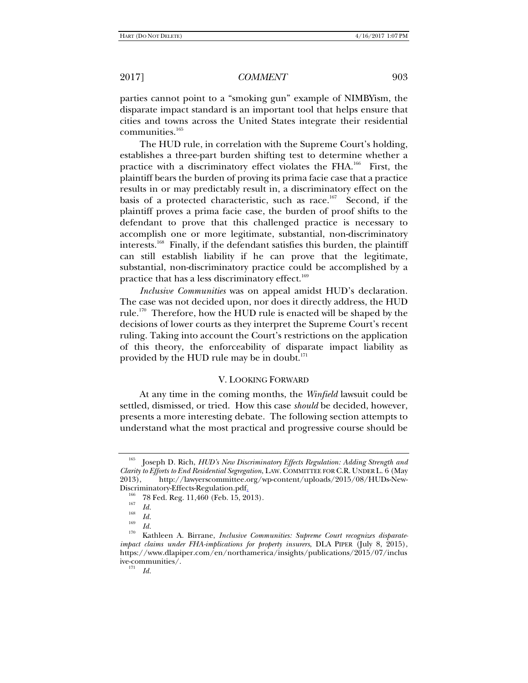parties cannot point to a "smoking gun" example of NIMBYism, the disparate impact standard is an important tool that helps ensure that cities and towns across the United States integrate their residential  $commu nities.<sup>165</sup>$ 

The HUD rule, in correlation with the Supreme Court's holding, establishes a three-part burden shifting test to determine whether a practice with a discriminatory effect violates the FHA.<sup>166</sup> First, the plaintiff bears the burden of proving its prima facie case that a practice results in or may predictably result in, a discriminatory effect on the basis of a protected characteristic, such as race.<sup>167</sup> Second, if the plaintiff proves a prima facie case, the burden of proof shifts to the defendant to prove that this challenged practice is necessary to accomplish one or more legitimate, substantial, non-discriminatory interests.<sup>168</sup> Finally, if the defendant satisfies this burden, the plaintiff can still establish liability if he can prove that the legitimate, substantial, non-discriminatory practice could be accomplished by a practice that has a less discriminatory effect.<sup>169</sup>

*Inclusive Communities* was on appeal amidst HUD's declaration. The case was not decided upon, nor does it directly address, the HUD rule.<sup>170</sup> Therefore, how the HUD rule is enacted will be shaped by the decisions of lower courts as they interpret the Supreme Court's recent ruling. Taking into account the Court's restrictions on the application of this theory, the enforceability of disparate impact liability as provided by the HUD rule may be in doubt.<sup>171</sup>

### V. LOOKING FORWARD

At any time in the coming months, the *Winfield* lawsuit could be settled, dismissed, or tried. How this case *should* be decided, however, presents a more interesting debate. The following section attempts to understand what the most practical and progressive course should be

<sup>165</sup> Joseph D. Rich, *HUD's New Discriminatory Effects Regulation: Adding Strength and Clarity to Efforts to End Residential Segregation*, LAW. COMMITTEE FOR C.R. UNDER L. 6 (May 2013), http://lawyerscommittee.org/wp-content/uploads/2015/08/HUDs-New-

Discriminatory-Effects-Regulation.pdf<u>.</u><br><sup>166</sup> 78 Fed. Reg. 11,460 (Feb. 15, 2013).<br>*167 Id.* 

*Id.* <sup>168</sup>*Id.* <sup>169</sup>*Id.* 170 Kathleen A. Birrane, *Inclusive Communities: Supreme Court recognizes disparateimpact claims under FHA-implications for property insurers*, DLA PIPER (July 8, 2015), https://www.dlapiper.com/en/northamerica/insights/publications/2015/07/inclus ive-communities/.

*Id.*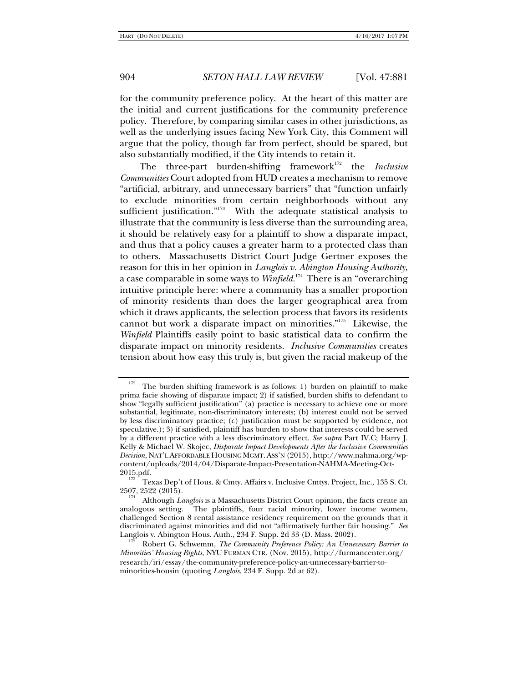for the community preference policy. At the heart of this matter are the initial and current justifications for the community preference policy. Therefore, by comparing similar cases in other jurisdictions, as well as the underlying issues facing New York City, this Comment will argue that the policy, though far from perfect, should be spared, but also substantially modified, if the City intends to retain it.

The three-part burden-shifting framework<sup>172</sup> the *Inclusive Communities* Court adopted from HUD creates a mechanism to remove "artificial, arbitrary, and unnecessary barriers" that "function unfairly to exclude minorities from certain neighborhoods without any sufficient justification."<sup>173</sup> With the adequate statistical analysis to illustrate that the community is less diverse than the surrounding area, it should be relatively easy for a plaintiff to show a disparate impact, and thus that a policy causes a greater harm to a protected class than to others. Massachusetts District Court Judge Gertner exposes the reason for this in her opinion in *Langlois v. Abington Housing Authority*, a case comparable in some ways to *Winfield*. 174 There is an "overarching intuitive principle here: where a community has a smaller proportion of minority residents than does the larger geographical area from which it draws applicants, the selection process that favors its residents cannot but work a disparate impact on minorities."175 Likewise, the *Winfield* Plaintiffs easily point to basic statistical data to confirm the disparate impact on minority residents. *Inclusive Communities* creates tension about how easy this truly is, but given the racial makeup of the

<sup>&</sup>lt;sup>172</sup> The burden shifting framework is as follows: 1) burden on plaintiff to make prima facie showing of disparate impact; 2) if satisfied, burden shifts to defendant to show "legally sufficient justification" (a) practice is necessary to achieve one or more substantial, legitimate, non-discriminatory interests; (b) interest could not be served by less discriminatory practice; (c) justification must be supported by evidence, not speculative.); 3) if satisfied, plaintiff has burden to show that interests could be served by a different practice with a less discriminatory effect. *See supra* Part IV.C; Harry J. Kelly & Michael W. Skojec, *Disparate Impact Developments After the Inclusive Communities Decision*, NAT'L AFFORDABLE HOUSING MGMT.ASS'N (2015), http://www.nahma.org/wpcontent/uploads/2014/04/Disparate-Impact-Presentation-NAHMA-Meeting-Oct-2015.pdf.  $\frac{173}{173}$  Texas Dep't of Hous. & Cmty. Affairs v. Inclusive Cmtys. Project, Inc., 135 S. Ct.

<sup>2507, 2522 (2015). 174</sup> Although *Langlois* is a Massachusetts District Court opinion, the facts create an analogous setting. The plaintiffs, four racial minority, lower income women, challenged Section 8 rental assistance residency requirement on the grounds that it discriminated against minorities and did not "affirmatively further fair housing." *See*  Langlois v. Abington Hous. Auth*.*, 234 F. Supp. 2d 33 (D. Mass. 2002). 175 Robert G. Schwemm, *The Community Preference Policy: An Unnecessary Barrier to* 

*Minorities' Housing Rights*, NYU FURMAN CTR. (Nov. 2015), http://furmancenter.org/ research/iri/essay/the-community-preference-policy-an-unnecessary-barrier-tominorities-housin (quoting *Langlois*, 234 F. Supp. 2d at 62).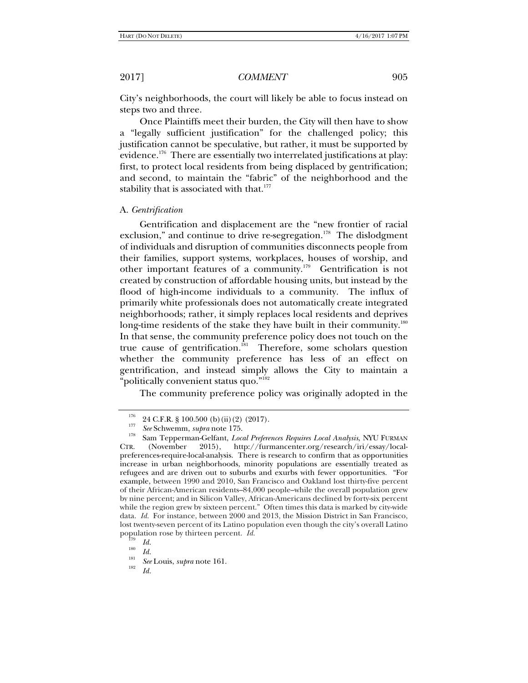City's neighborhoods, the court will likely be able to focus instead on steps two and three.

Once Plaintiffs meet their burden, the City will then have to show a "legally sufficient justification" for the challenged policy; this justification cannot be speculative, but rather, it must be supported by evidence.<sup>176</sup> There are essentially two interrelated justifications at play: first, to protect local residents from being displaced by gentrification; and second, to maintain the "fabric" of the neighborhood and the stability that is associated with that.<sup>177</sup>

#### A. *Gentrification*

Gentrification and displacement are the "new frontier of racial exclusion," and continue to drive re-segregation.<sup>178</sup> The dislodgment of individuals and disruption of communities disconnects people from their families, support systems, workplaces, houses of worship, and other important features of a community.179 Gentrification is not created by construction of affordable housing units, but instead by the flood of high-income individuals to a community. The influx of primarily white professionals does not automatically create integrated neighborhoods; rather, it simply replaces local residents and deprives long-time residents of the stake they have built in their community.<sup>180</sup> In that sense, the community preference policy does not touch on the true cause of gentrification.<sup>181</sup> Therefore, some scholars question whether the community preference has less of an effect on gentrification, and instead simply allows the City to maintain a "politically convenient status quo."<sup>182</sup>

The community preference policy was originally adopted in the

<sup>&</sup>lt;sup>176</sup> 24 C.F.R. § 100.500 (b) (ii) (2) (2017).<br><sup>177</sup> See Schwemm, *supra* note 175.

<sup>&</sup>lt;sup>178</sup> Sam Tepperman-Gelfant, *Local Preferences Requires Local Analysis*, NYU FURMAN CTR. (November 2015), http://furmancenter.org/research/iri/essay/localpreferences-require-local-analysis. There is research to confirm that as opportunities increase in urban neighborhoods, minority populations are essentially treated as refugees and are driven out to suburbs and exurbs with fewer opportunities. "For example, between 1990 and 2010, San Francisco and Oakland lost thirty-five percent of their African-American residents–84,000 people–while the overall population grew by nine percent; and in Silicon Valley, African-Americans declined by forty-six percent while the region grew by sixteen percent." Often times this data is marked by city-wide data. *Id.* For instance, between 2000 and 2013, the Mission District in San Francisco, lost twenty-seven percent of its Latino population even though the city's overall Latino population rose by thirteen percent. *Id.* <sup>179</sup> *Id. Id.* 

<sup>&</sup>lt;sup>181</sup> *See* Louis, *supra* note 161.

*Id.*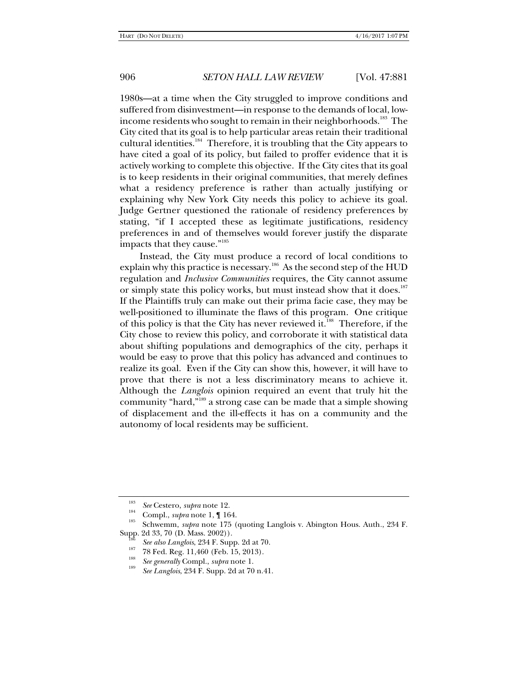1980s—at a time when the City struggled to improve conditions and suffered from disinvestment—in response to the demands of local, lowincome residents who sought to remain in their neighborhoods.<sup>183</sup> The City cited that its goal is to help particular areas retain their traditional cultural identities.<sup>184</sup> Therefore, it is troubling that the City appears to have cited a goal of its policy, but failed to proffer evidence that it is actively working to complete this objective. If the City cites that its goal is to keep residents in their original communities, that merely defines what a residency preference is rather than actually justifying or explaining why New York City needs this policy to achieve its goal. Judge Gertner questioned the rationale of residency preferences by stating, "if I accepted these as legitimate justifications, residency preferences in and of themselves would forever justify the disparate impacts that they cause."185

Instead, the City must produce a record of local conditions to explain why this practice is necessary.<sup>186</sup> As the second step of the HUD regulation and *Inclusive Communities* requires, the City cannot assume or simply state this policy works, but must instead show that it does.<sup>187</sup> If the Plaintiffs truly can make out their prima facie case, they may be well-positioned to illuminate the flaws of this program. One critique of this policy is that the City has never reviewed it.<sup>188</sup> Therefore, if the City chose to review this policy, and corroborate it with statistical data about shifting populations and demographics of the city, perhaps it would be easy to prove that this policy has advanced and continues to realize its goal. Even if the City can show this, however, it will have to prove that there is not a less discriminatory means to achieve it. Although the *Langlois* opinion required an event that truly hit the community "hard,"189 a strong case can be made that a simple showing of displacement and the ill-effects it has on a community and the autonomy of local residents may be sufficient.

<sup>&</sup>lt;sup>183</sup> See Cestero, *supra* note 12.<br><sup>184</sup> Compl., *supra* note 1, ¶ 164.<br><sup>185</sup> Schwemm, *supra* note 175 (quoting Langlois v. Abington Hous. Auth., 234 F.<br>Supp. 2d 33, 70 (D. Mass. 2002)).

<sup>&</sup>lt;sup>186</sup> *See also Langlois*, 234 F. Supp. 2d at 70.<br><sup>187</sup> 78 Fed. Reg. 11,460 (Feb. 15, 2013).<br><sup>188</sup> *See generally* Compl., *supra* note 1.

*See Langlois*, 234 F. Supp. 2d at 70 n.41.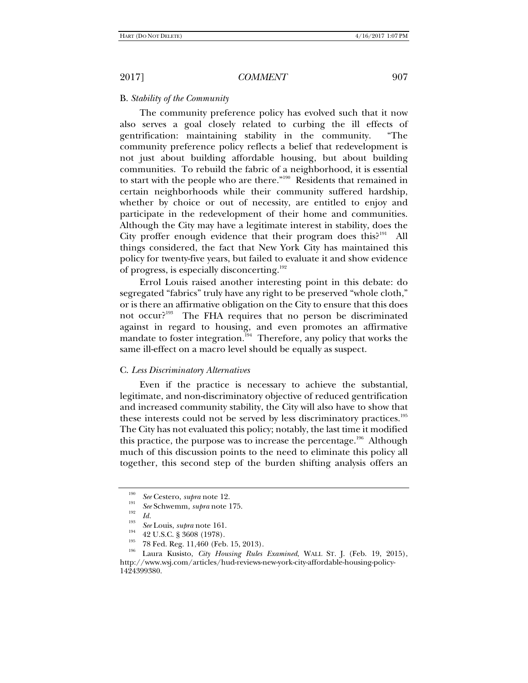## B. *Stability of the Community*

The community preference policy has evolved such that it now also serves a goal closely related to curbing the ill effects of gentrification: maintaining stability in the community. "The community preference policy reflects a belief that redevelopment is not just about building affordable housing, but about building communities. To rebuild the fabric of a neighborhood, it is essential to start with the people who are there."190 Residents that remained in certain neighborhoods while their community suffered hardship, whether by choice or out of necessity, are entitled to enjoy and participate in the redevelopment of their home and communities. Although the City may have a legitimate interest in stability, does the City proffer enough evidence that their program does this? $191$  All things considered, the fact that New York City has maintained this policy for twenty-five years, but failed to evaluate it and show evidence of progress, is especially disconcerting.<sup>192</sup>

Errol Louis raised another interesting point in this debate: do segregated "fabrics" truly have any right to be preserved "whole cloth," or is there an affirmative obligation on the City to ensure that this does not occur?<sup>193</sup> The FHA requires that no person be discriminated against in regard to housing, and even promotes an affirmative mandate to foster integration.<sup>194</sup> Therefore, any policy that works the same ill-effect on a macro level should be equally as suspect.

### C. *Less Discriminatory Alternatives*

Even if the practice is necessary to achieve the substantial, legitimate, and non-discriminatory objective of reduced gentrification and increased community stability, the City will also have to show that these interests could not be served by less discriminatory practices.<sup>195</sup> The City has not evaluated this policy; notably, the last time it modified this practice, the purpose was to increase the percentage.<sup>196</sup> Although much of this discussion points to the need to eliminate this policy all together, this second step of the burden shifting analysis offers an

<sup>190</sup>

<sup>&</sup>lt;sup>190</sup> *See* Cestero, *supra* note 12.<br><sup>191</sup> *See* Schwemm, *supra* note 175.

<sup>&</sup>lt;sup>193</sup> *Id.*<br><sup>193</sup> *See* Louis, *supra* note 161.

<sup>&</sup>lt;sup>194</sup> 42 U.S.C. § 3608 (1978).<br><sup>195</sup> 78 Fed. Reg. 11,460 (Feb. 15, 2013).<br><sup>196</sup> Laura Kusisto, *City Housing Rules Examined*, WALL ST. J. (Feb. 19, 2015), http://www.wsj.com/articles/hud-reviews-new-york-city-affordable-housing-policy-1424399380.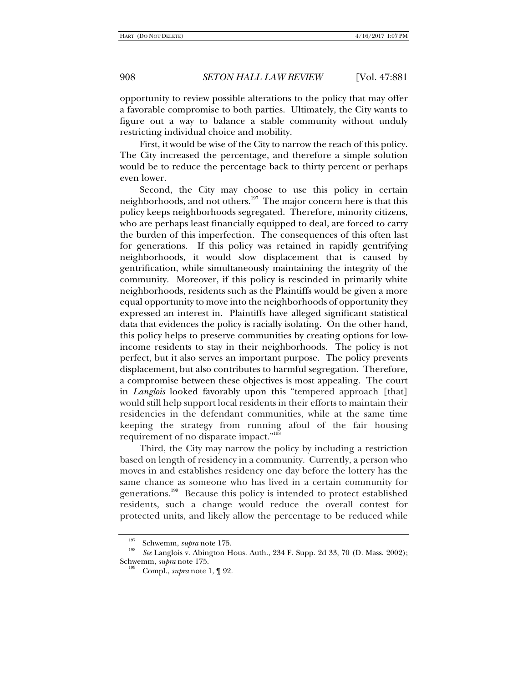opportunity to review possible alterations to the policy that may offer a favorable compromise to both parties. Ultimately, the City wants to figure out a way to balance a stable community without unduly restricting individual choice and mobility.

First, it would be wise of the City to narrow the reach of this policy. The City increased the percentage, and therefore a simple solution would be to reduce the percentage back to thirty percent or perhaps even lower.

Second, the City may choose to use this policy in certain neighborhoods, and not others.<sup>197</sup> The major concern here is that this policy keeps neighborhoods segregated. Therefore, minority citizens, who are perhaps least financially equipped to deal, are forced to carry the burden of this imperfection. The consequences of this often last for generations. If this policy was retained in rapidly gentrifying neighborhoods, it would slow displacement that is caused by gentrification, while simultaneously maintaining the integrity of the community. Moreover, if this policy is rescinded in primarily white neighborhoods, residents such as the Plaintiffs would be given a more equal opportunity to move into the neighborhoods of opportunity they expressed an interest in. Plaintiffs have alleged significant statistical data that evidences the policy is racially isolating. On the other hand, this policy helps to preserve communities by creating options for lowincome residents to stay in their neighborhoods. The policy is not perfect, but it also serves an important purpose. The policy prevents displacement, but also contributes to harmful segregation. Therefore, a compromise between these objectives is most appealing. The court in *Langlois* looked favorably upon this "tempered approach [that] would still help support local residents in their efforts to maintain their residencies in the defendant communities, while at the same time keeping the strategy from running afoul of the fair housing requirement of no disparate impact."198

Third, the City may narrow the policy by including a restriction based on length of residency in a community. Currently, a person who moves in and establishes residency one day before the lottery has the same chance as someone who has lived in a certain community for generations.199 Because this policy is intended to protect established residents, such a change would reduce the overall contest for protected units, and likely allow the percentage to be reduced while

<sup>197</sup> Schwemm, *supra* note 175. 198 *See* Langlois v. Abington Hous. Auth., 234 F. Supp. 2d 33, 70 (D. Mass. 2002); Schwemm, *supra* note 175.<br><sup>199</sup> Compl., *supra* note 1, ¶ 92.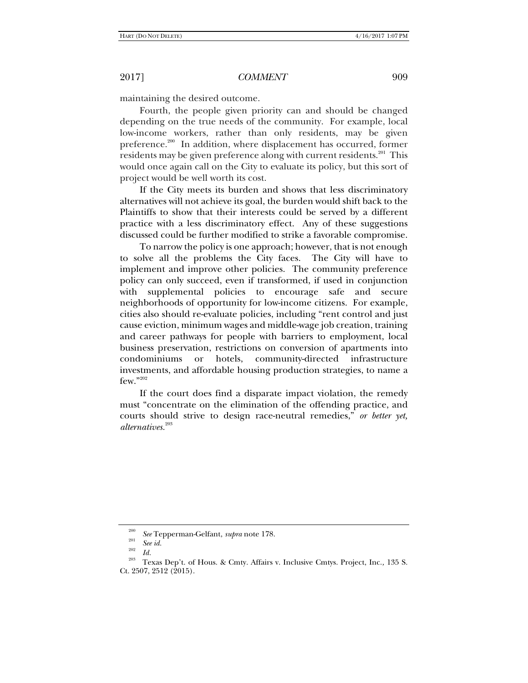maintaining the desired outcome.

Fourth, the people given priority can and should be changed depending on the true needs of the community. For example, local low-income workers, rather than only residents, may be given preference.<sup>200</sup> In addition, where displacement has occurred, former residents may be given preference along with current residents.<sup>201</sup> This would once again call on the City to evaluate its policy, but this sort of project would be well worth its cost.

If the City meets its burden and shows that less discriminatory alternatives will not achieve its goal, the burden would shift back to the Plaintiffs to show that their interests could be served by a different practice with a less discriminatory effect. Any of these suggestions discussed could be further modified to strike a favorable compromise.

To narrow the policy is one approach; however, that is not enough to solve all the problems the City faces. The City will have to implement and improve other policies. The community preference policy can only succeed, even if transformed, if used in conjunction with supplemental policies to encourage safe and secure neighborhoods of opportunity for low-income citizens. For example, cities also should re-evaluate policies, including "rent control and just cause eviction, minimum wages and middle-wage job creation, training and career pathways for people with barriers to employment, local business preservation, restrictions on conversion of apartments into condominiums or hotels, community-directed infrastructure investments, and affordable housing production strategies, to name a few."202

If the court does find a disparate impact violation, the remedy must "concentrate on the elimination of the offending practice, and courts should strive to design race-neutral remedies," *or better yet, alternatives.*<sup>203</sup>

<sup>200</sup>*See* Tepperman-Gelfant, *supra* note 178. 201

*See id.* 202 *Id.* 203 Texas Dep't. of Hous. & Cmty. Affairs v. Inclusive Cmtys. Project, Inc.*,* 135 S. Ct. 2507, 2512 (2015).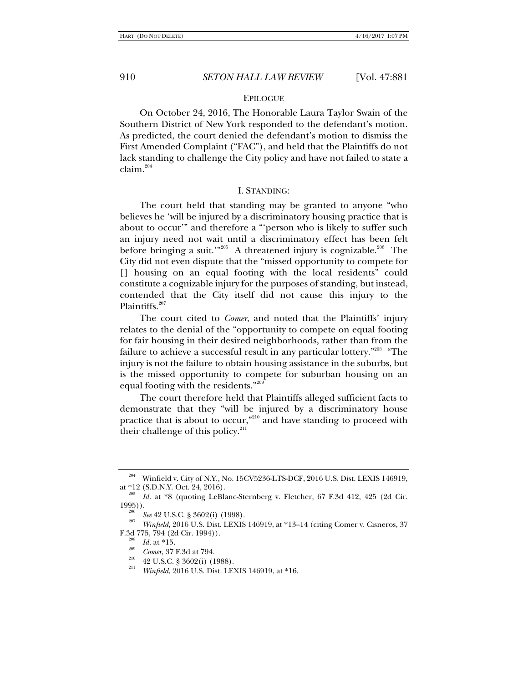## EPILOGUE

On October 24, 2016, The Honorable Laura Taylor Swain of the Southern District of New York responded to the defendant's motion. As predicted, the court denied the defendant's motion to dismiss the First Amended Complaint ("FAC"), and held that the Plaintiffs do not lack standing to challenge the City policy and have not failed to state a  $claim.<sup>204</sup>$ 

#### I. STANDING:

The court held that standing may be granted to anyone "who believes he 'will be injured by a discriminatory housing practice that is about to occur'" and therefore a "'person who is likely to suffer such an injury need not wait until a discriminatory effect has been felt before bringing a suit.'"<sup>205</sup> A threatened injury is cognizable.<sup>206</sup> The City did not even dispute that the "missed opportunity to compete for [] housing on an equal footing with the local residents" could constitute a cognizable injury for the purposes of standing, but instead, contended that the City itself did not cause this injury to the Plaintiffs.<sup>207</sup>

The court cited to *Comer*, and noted that the Plaintiffs' injury relates to the denial of the "opportunity to compete on equal footing for fair housing in their desired neighborhoods, rather than from the failure to achieve a successful result in any particular lottery."208 "The injury is not the failure to obtain housing assistance in the suburbs, but is the missed opportunity to compete for suburban housing on an equal footing with the residents."209

The court therefore held that Plaintiffs alleged sufficient facts to demonstrate that they "will be injured by a discriminatory house practice that is about to occur,"210 and have standing to proceed with their challenge of this policy. $211$ 

<sup>204</sup> Winfield v. City of N.Y., No. 15CV5236-LTS-DCF, 2016 U.S. Dist. LEXIS 146919, at \*12 (S.D.N.Y. Oct. 24, 2016).

 $\frac{205}{100}$  *Id.* at \*8 (quoting LeBlanc-Sternberg v. Fletcher, 67 F.3d 412, 425 (2d Cir. 1995)).

<sup>&</sup>lt;sup>200</sup> See 42 U.S.C. § 3602(i) (1998).

*Winfield*, 2016 U.S. Dist. LEXIS 146919, at \*13–14 (citing Comer v. Cisneros, 37 F.3d 775, 794 (2d Cir. 1994)).<br><sup>208</sup> *Id.* at \*15.<br><sup>209</sup> *Comer*, 37 F.3d at 794.

<sup>&</sup>lt;sup>210</sup> 42 U.S.C. § 3602(i) (1988).

*Winfield*, 2016 U.S. Dist. LEXIS 146919, at \*16.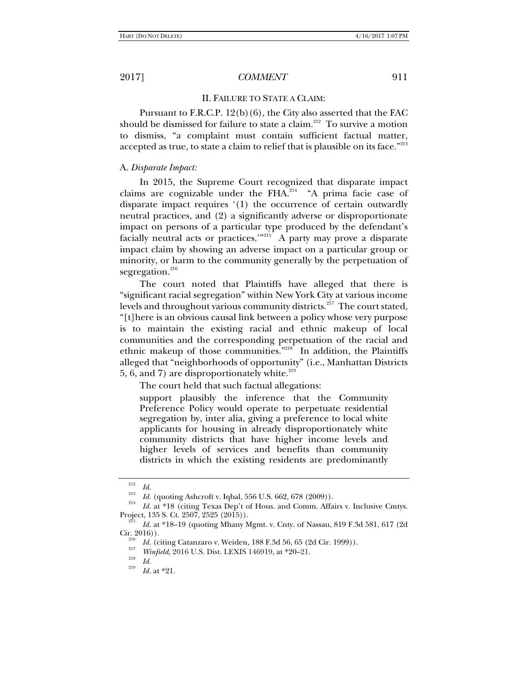## II. FAILURE TO STATE A CLAIM:

Pursuant to F.R.C.P. 12(b)(6), the City also asserted that the FAC should be dismissed for failure to state a claim.<sup>212</sup> To survive a motion to dismiss, "a complaint must contain sufficient factual matter, accepted as true, to state a claim to relief that is plausible on its face."<sup>213</sup>

### A. *Disparate Impact:*

In 2015, the Supreme Court recognized that disparate impact claims are cognizable under the FHA.<sup>214</sup> "A prima facie case of disparate impact requires '(1) the occurrence of certain outwardly neutral practices, and (2) a significantly adverse or disproportionate impact on persons of a particular type produced by the defendant's facially neutral acts or practices.'"<sup>215</sup> A party may prove a disparate impact claim by showing an adverse impact on a particular group or minority, or harm to the community generally by the perpetuation of segregation. $^{216}$ 

The court noted that Plaintiffs have alleged that there is "significant racial segregation" within New York City at various income levels and throughout various community districts.<sup>217</sup> The court stated, "[t]here is an obvious causal link between a policy whose very purpose is to maintain the existing racial and ethnic makeup of local communities and the corresponding perpetuation of the racial and ethnic makeup of those communities."218 In addition, the Plaintiffs alleged that "neighborhoods of opportunity" (i.e., Manhattan Districts 5, 6, and 7) are disproportionately white. $219$ 

The court held that such factual allegations:

support plausibly the inference that the Community Preference Policy would operate to perpetuate residential segregation by, inter alia, giving a preference to local white applicants for housing in already disproportionately white community districts that have higher income levels and higher levels of services and benefits than community districts in which the existing residents are predominantly

<sup>212</sup>

<sup>&</sup>lt;sup>212</sup> *Id.* (quoting Ashcroft v. Iqbal, 556 U.S. 662, 678 (2009)).

<sup>&</sup>lt;sup>214</sup> *Id.* at \*18 (citing Texas Dep't of Hous. and Comm. Affairs v. Inclusive Cmtys. Project, 135 S. Ct. 2507, 2525 (2015)).

<sup>&</sup>lt;sup>215</sup> Id. at \*18–19 (quoting Mhany Mgmt. v. Cnty. of Nassau, 819 F.3d 581, 617 (2d Cir. 2016)).

<sup>&</sup>lt;sup>216</sup> *Id.* (citing Catanzaro v. Weiden, 188 F.3d 56, 65 (2d Cir. 1999)).

*Winfield*, 2016 U.S. Dist. LEXIS 146919, at \*20–21.<br> *Id.* 219

*Id.* at \*21.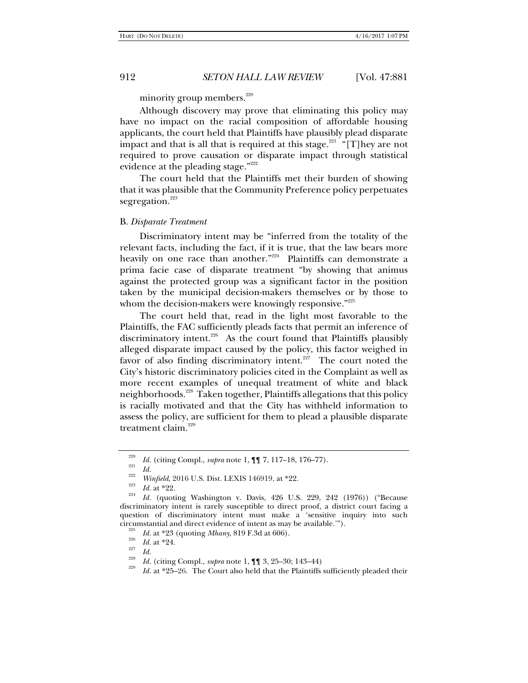minority group members. $220$ 

Although discovery may prove that eliminating this policy may have no impact on the racial composition of affordable housing applicants, the court held that Plaintiffs have plausibly plead disparate impact and that is all that is required at this stage.<sup>221</sup> "[T]hey are not required to prove causation or disparate impact through statistical evidence at the pleading stage."<sup>222</sup>

The court held that the Plaintiffs met their burden of showing that it was plausible that the Community Preference policy perpetuates segregation.<sup>223</sup>

#### B. *Disparate Treatment*

Discriminatory intent may be "inferred from the totality of the relevant facts, including the fact, if it is true, that the law bears more heavily on one race than another."<sup>224</sup> Plaintiffs can demonstrate a prima facie case of disparate treatment "by showing that animus against the protected group was a significant factor in the position taken by the municipal decision-makers themselves or by those to whom the decision-makers were knowingly responsive."<sup>225</sup>

The court held that, read in the light most favorable to the Plaintiffs, the FAC sufficiently pleads facts that permit an inference of discriminatory intent.<sup>226</sup> As the court found that Plaintiffs plausibly alleged disparate impact caused by the policy, this factor weighed in favor of also finding discriminatory intent.<sup>227</sup> The court noted the City's historic discriminatory policies cited in the Complaint as well as more recent examples of unequal treatment of white and black neighborhoods.<sup>228</sup> Taken together, Plaintiffs allegations that this policy is racially motivated and that the City has withheld information to assess the policy, are sufficient for them to plead a plausible disparate treatment claim.<sup>229</sup>

<sup>220</sup> *Id.* (citing Compl., *supra* note 1, ¶¶ 7, 117–18, 176–77). 221 *Id.* <sup>222</sup>

<sup>&</sup>lt;sup>223</sup> *Id.* at \*22.<br><sup>224</sup> *Id.* (quoting Washington v. Davis, 426 U.S. 229, 242 (1976)) ("Because discriminatory intent is rarely susceptible to direct proof, a district court facing a question of discriminatory intent must make a 'sensitive inquiry into such circumstantial and direct evidence of intent as may be available."").

<sup>&</sup>lt;sup>225</sup> *Id.* at \*23 (quoting *Mhany*, 819 F.3d at 606).<br><sup>226</sup> *Id.* at \*24.<br>*Id.* 

<sup>&</sup>lt;sup>228</sup>*Id.* (citing Compl., *supra* note 1, **[1**] 3, 25–30; 143–44)

*Id.* at \*25–26. The Court also held that the Plaintiffs sufficiently pleaded their